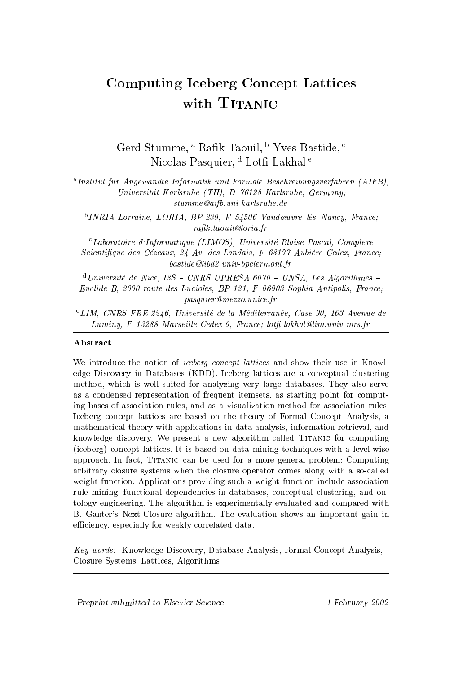# Computing Iceberg Concept Lattices

Gerd Stumme, <sup>a</sup> Rafik Taouil, <sup>b</sup> Yves Bastide, <sup>c</sup> Nicolas Pasquier, <sup>d</sup> Lotfi Lakhal<sup>e</sup>

<sup>a</sup> Institut fur Angewandte Informatik und Formale Beschreibungsverfahren (AIFB), Universität Karlsruhe (TH), D-76128 Karlsruhe, Germany; stumme@aifb.uni-karlsruhe.de

"INKIA LOTTAINE, LOKIA, BP 239, F=34506 Vandœuvre=les=Nancy, France; rak.taouil@loria.fr

 $c$ Laboratoire d'Informatique (LIMOS), Université Blaise Pascal, Complexe  $Scientifique des Cézeaux, 24 Av. des Landais, F-63177 Aubière Ceder, France;$ bastide@libd2.univ-bpclermont.fr

<sup>d</sup>Université de Nice, I3S - CNRS UPRESA 6070 - UNSA, Les Algorithmes -Euclide B, 2000 route des Lucioles, BP 121, F-06903 Sophia Antipolis, France; pasquier@mezzo.unice.fr

eLIM, CNRS FRE-2246, Universite de la Mediterranee, Case 90, 163 Avenue de Luminy, F-13288 Marseille Cedex 9, France; lotfi.lakhal@lim.univ-mrs.fr

#### ${\bf A}$   ${\bf b}$ stract

We introduce the notion of *iceberg concept lattices* and show their use in Knowledge Discovery in Databases (KDD). Iceberg lattices are a conceptual clustering method, which is well suited for analyzing very large databases. They also serve as a condensed representation of frequent itemsets, as starting point for computing bases of association rules, and asa visualization method for association rules. Iceberg concept lattices are based on the theory of Formal Concept Analysis, a mathematical theory with applications in data analysis, information retrieval, and knowledge discovery. We present a new algorithm called TITANIC for computing (iceberg) concept lattices. It is based on data mining techniques with a level-wise approach. In fact, Titanic can be used for a more general problem: Computing arbitrary closure systems when the closure operator comes along with a so-called weight function. Applications providing such a weight function include association rule mining, functional dependencies in databases, conceptual clustering, and ontology engineering. The algorithm is experimentally evaluated and compared with B. Ganter's Next-Closure algorithm. The evaluation shows an important gain in efficiency, especially for weakly correlated data.

Key words: Knowledge Discovery, Database Analysis, Formal Concept Analysis, Closure Systems, Lattices, Algorithms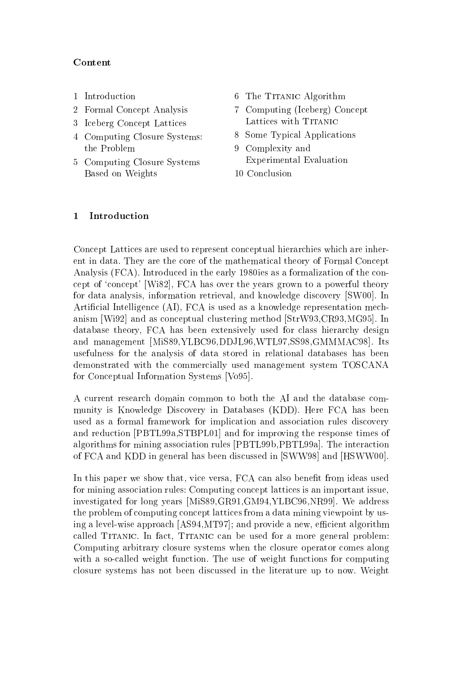# Content

- 1 Introduction
- 2 Formal Concept Analysis
- 3 Iceberg Concept Lattices
- 4 Computing Closure Systems: the Problem
- 5 Computing Closure Systems Based on Weights
- 6 The Titanic Algorithm
- 7 Computing (Iceberg) Concept Lattices with TITANIC
- 8 Some Typical Applications
- 9 Complexity and Experimental Evaluation
- 10 Conclusion

#### **Introduction**  $\mathbf{1}$

Concept Lattices are used to represent conceptual hierarchies which are inherent in data. They are the core of the mathematical theory of Formal Concept Analysis (FCA). Introduced in the early 1980ies as a formalization of the concept of `concept' [Wi82], FCA has over the years grown to a powerful theory for data analysis, information retrieval, and knowledge discovery [SW00]. In Artificial Intelligence (AI), FCA is used as a knowledge representation mechanism [Wi92] and as conceptual clustering method [StrW93,CR93,MG95]. In database theory, FCA has been extensively used for class hierarchy design and management [MiS89,YLBC96,DDJL96,WTL97,SS98,GMMMAC98]. Its usefulness for the analysis of data stored in relational databases has been demonstrated with the commercially used management system TOSCANA for Conceptual Information Systems [Vo95].

A current research domain common to both the AI and the database community is Knowledge Discovery in Databases (KDD). Here FCA has been used as a formal framework for implication and association rules discovery and reduction [PBTL99a,STBPL01] and for improving the response times of algorithms for mining association rules [PBTL99b,PBTL99a]. The interaction of FCA and KDD in general has been discussed in [SWW98] and [HSWW00].

In this paper we show that, vice versa, FCA can also benefit from ideas used for mining association rules: Computing concept lattices is an important issue, investigated for long years [MiS89,GR91,GM94,YLBC96,NR99]. We address the problem of computing concept lattices from a data mining viewpoint by using a level-wise approach [AS94,MT97]; and provide a new, efficient algorithm called Titanic. In fact, Titanic can be used for a more general problem: Computing arbitrary closure systems when the closure operator comes along with a so-called weight function. The use of weight functions for computing closure systems has not been discussed in the literature up to now. Weight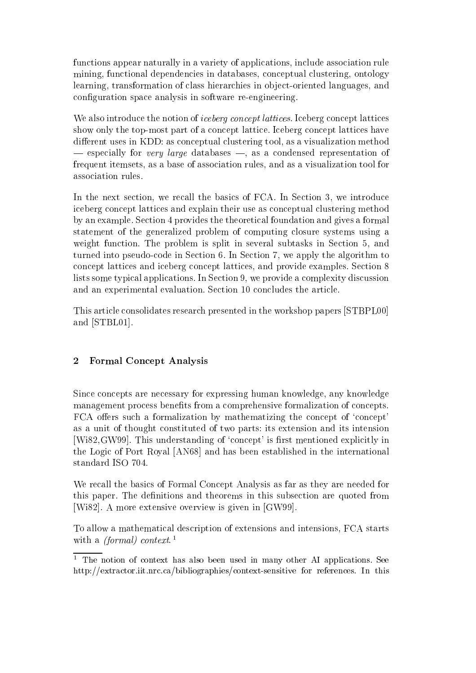functions appear naturally in a variety of applications, include association rule mining, functional dependencies in databases, conceptual clustering, ontology learning, transformation of class hierarchies in object-oriented languages, and configuration space analysis in software re-engineering.

We also introduce the notion of *iceberg concept lattices*. Iceberg concept lattices show only the top-most part of a concept lattice. Iceberg concept lattices have different uses in KDD: as conceptual clustering tool, as a visualization method  $\frac{1}{x}$  especially for *very large* databases  $\frac{1}{x}$ , as a condensed representation of frequent itemsets, as a base of association rules, and as a visualization tool for association rules.

In the next section, we recall the basics of FCA. In Section 3, we introduce iceberg concept lattices and explain their use as conceptual clustering method by an example. Section 4 provides the theoretical foundation and gives a formal statement of the generalized problem of computing closure systems using a weight function. The problem is split in several subtasks in Section 5, and turned into pseudo-code in Section 6. In Section 7, we apply the algorithm to concept lattices and iceberg concept lattices, and provide examples. Section 8 lists some typical applications. In Section 9, we provide a complexity discussion and an experimental evaluation. Section 10 concludes the article.

This article consolidates research presented in the workshop papers [STBPL00] and [STBL01].

# 2 Formal Concept Analysis

Since concepts are necessary for expressing human knowledge, any knowledge management process benefits from a comprehensive formalization of concepts. FCA offers such a formalization by mathematizing the concept of 'concept' as a unit of thought constituted of two parts: its extension and its intension [Wi82, GW99]. This understanding of 'concept' is first mentioned explicitly in the Logic of Port Royal [AN68] and has been established in the international standard ISO 704.

We recall the basics of Formal Concept Analysis as far as they are needed for this paper. The definitions and theorems in this subsection are quoted from [Wi82]. A more extensive overview is given in [GW99].

To allow a mathematical description of extensions and intensions, FCA starts with a *(formal)* context.<sup>1</sup>

 $^\circ$  -fine notion of context has also been used in many other AI applications. See http://extractor.iit.nrc.ca/bibliographies/context-sensitive for references. In this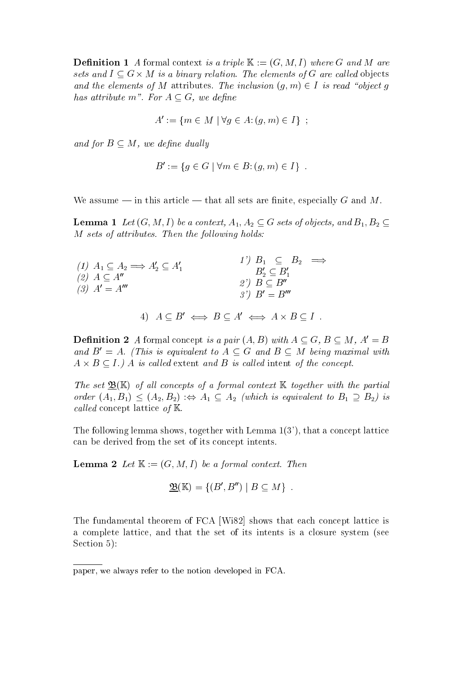**Definition 1** A formal context is a triple  $\mathbb{K} := (G, M, I)$  where G and M are sets and <sup>I</sup> <sup>G</sup> -M is a binary relation. The elements of G are cal led ob jects and the elements of M attributes. The inclusion (g;m) 2 I is read  $\mathbf{z}$  is read  $\mathbf{z}$  is read  $\mathbf{z}$ has attribute med the form of the second terms of the second contract of the second contract of the second contract of the second contract of the second contract of the second contract of the second contract of the second

$$
A' := \{ m \in M \mid \forall g \in A : (g, m) \in I \} ;
$$

and for  $\mathbb{R}^n$  and the definition of the set of  $\mathbb{R}^n$ 

$$
B' := \{ g \in G \mid \forall m \in B : (g, m) \in I \} .
$$

We assume  $-$  in this article  $-$  that all sets are finite, especially G and M.

**Lemma 1** Let  $(G, M, I)$  be a context,  $A_1, A_2 \subseteq G$  sets of objects, and  $B_1, B_2 \subseteq G$  $M$  sets of attributes. Then the following holds:

| $(1)$ $A_1 \subseteq A_2 \Longrightarrow A'_2 \subseteq A'_1$<br>$(2) A \subseteq A''$<br>$(3) A' = A'''$ | 1') $B_1 \subseteq B_2 \implies$<br>$B'_2 \subseteq B'_1$<br>2') $B \subseteq B''$<br>$3'$ ) $B' = B'''$ |
|-----------------------------------------------------------------------------------------------------------|----------------------------------------------------------------------------------------------------------|
|                                                                                                           |                                                                                                          |

4) 
$$
A \subseteq B' \iff B \subseteq A' \iff A \times B \subseteq I
$$
.

**Definition 2** A formal concept is a pair  $(A, B)$  with  $A \subseteq G$ ,  $B \subseteq M$ ,  $A' = B$ and  $D = A$ . (This is equivalent to  $A \subseteq G$  and  $D \subseteq M$  being maximal with A - B <sup>I</sup> .) <sup>A</sup> is cal led extent and <sup>B</sup> is cal led intent of the concept.

The set  $\underline{\mathfrak{B}}(\mathbb{K})$  of all concepts of a formal context  $\mathbb K$  together with the partial order  $(A_1, B_1) \leq (A_2, B_2)$  :  $\Leftrightarrow A_1 \subseteq A_2$  (which is equivalent to  $B_1 \supseteq B_2$ ) is called concept lattice of  $K$ .

The following lemma shows, together with Lemma  $1(3')$ , that a concept lattice can be derived from the set of its concept intents.

**Lemma 2** Let  $\mathbb{K} := (G, M, I)$  be a formal context. Then

$$
\underline{\mathfrak{B}}(\mathbb{K}) = \{ (B', B'') \mid B \subseteq M \} .
$$

The fundamental theorem of FCA [Wi82] shows that each concept lattice is a complete lattice, and that the set of its intents is a closure system (see Section 5):

paper, we always refer to the notion developed in FCA.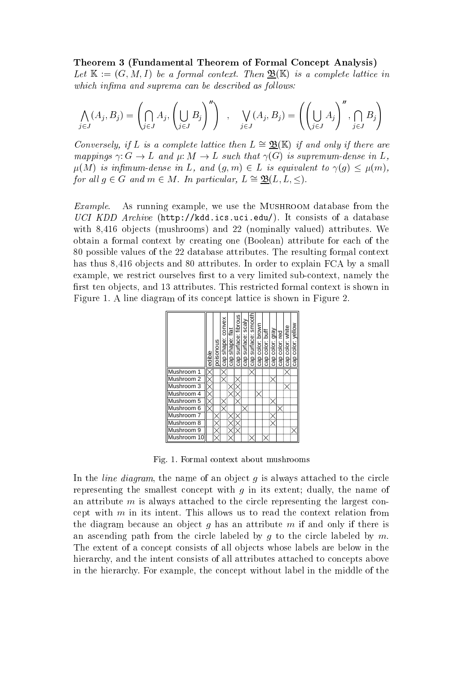#### Theorem 3 (Fundamental Theorem of Formal Concept Analysis)

Let  $\mathbb{K} := (G, M, I)$  be a formal context. Then  $\underline{\mathfrak{B}}(\mathbb{K})$  is a complete lattice in which infima and suprema can be described as follows:

$$
\bigwedge_{j\in J}(A_j,B_j) = \left(\bigcap_{j\in J}A_j,\left(\bigcup_{j\in J}B_j\right)^{\prime\prime}\right) ,\quad \bigvee_{j\in J}(A_j,B_j) = \left(\left(\bigcup_{j\in J}A_j\right)^{\prime\prime},\bigcap_{j\in J}B_j\right)
$$

Conversely, if L is a complete lattice then  $L \cong \mathfrak{B}(\mathbb{K})$  if and only if there are mappings : G ! <sup>L</sup> and : <sup>M</sup> ! <sup>L</sup> such that (G) is supremum-dense in L,  $\mathbb{P}^{n}$  is independent the contract in  $\mathbb{P}^{n}$  , and  $\mathbb{P}^{n}$  is equivalent to  $\mathbb{P}^{n}$  ,  $\mathbb{P}^{n}$ for all  $q \in G$  and  $m \in M$ . In particular,  $L \cong \mathfrak{B}(L, L, \leq)$ .

*Example.* As running example, we use the MUSHROOM database from the UCI KDD Archive  $(\text{http://kdd.ics.uci.edu/}).$  It consists of a database with 8,416 objects (mushrooms) and 22 (nominally valued) attributes. We obtain a formal context by creating one (Boolean) attribute for each of the 80 possible values of the 22 database attributes. The resulting formal context has thus 8,416 objects and 80 attributes. In order to explain FCA by a small example, we restrict ourselves first to a very limited sub-context, namely the first ten objects, and 13 attributes. This restricted formal context is shown in Figure 1. A line diagram of its concept lattice is shown in Figure 2.



Fig. 1. Formal context about mushrooms

In the *line diagram*, the name of an object  $g$  is always attached to the circle representing the smallest concept with  $q$  in its extent; dually, the name of an attribute  $m$  is always attached to the circle representing the largest concept with  $m$  in its intent. This allows us to read the context relation from the diagram because an object q has an attribute  $m$  if and only if there is an ascending path from the circle labeled by q to the circle labeled by  $m$ . The extent of a concept consists of all objects whose labels are below in the hierarchy, and the intent consists of all attributes attached to concepts above in the hierarchy. For example, the concept without label in the middle of the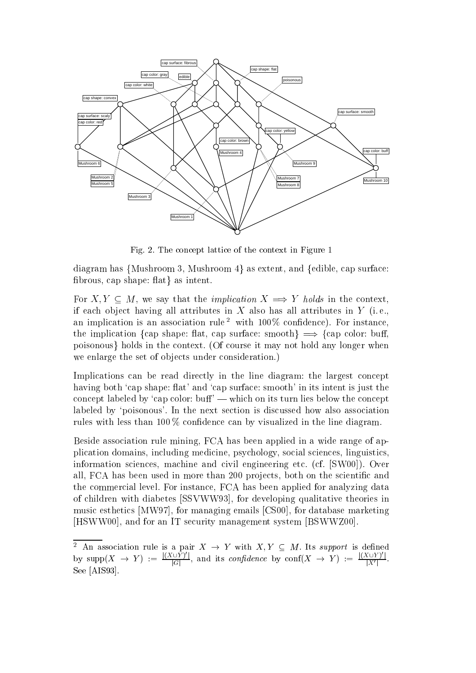

Fig. 2. The concept lattice of the context in Figure 1

diagram has  $\{Mushroom\ 3, Mushroom\ 4\}$  as extent, and  $\{edible, cap surface:$ fibrous, cap shape: flat as intent.

For  $X, Y \subseteq M$ , we say that the *implication*  $X \Longrightarrow Y$  holds in the context, if each object having all attributes in X also has all attributes in Y (i.e., an implication is an association rule<sup>2</sup> with  $100\%$  confidence). For instance, the implication {cap shape: flat, cap surface: smooth}  $\implies$  {cap color: buff, poisonous} holds in the context. (Of course it may not hold any longer when we enlarge the set of objects under consideration.)

Implications can be read directly in the line diagram: the largest concept having both 'cap shape: flat' and 'cap surface: smooth' in its intent is just the concept labeled by 'cap color: buff' — which on its turn lies below the concept labeled by 'poisonous'. In the next section is discussed how also association rules with less than  $100\%$  confidence can by visualized in the line diagram.

Beside association rule mining, FCA has been applied in a wide range of application domains, including medicine, psychology, social sciences, linguistics, information sciences, machine and civil engineering etc. (cf. [SW00]). Over all, FCA has been used in more than 200 projects, both on the scientific and the commercial level. For instance, FCA has been applied for analyzing data of children with diabetes [SSVWW93], for developing qualitative theories in music esthetics [MW97], for managing emails [CS00], for database marketing [HSWW00], and for an IT security management system [BSWWZ00].

<sup>-</sup> An association rule is a pair  $A \rightarrow I$  with  $A, I \subseteq M$ . Its support is defined by supp $(X \to Y) := \frac{|\langle X \cup Y \rangle|^2}{|G|}$ , and its confidence by conf( $X \to Y$ ) :=  $\frac{|\langle X \cup Y \rangle|^2}{|X'|}$ . See [AIS93].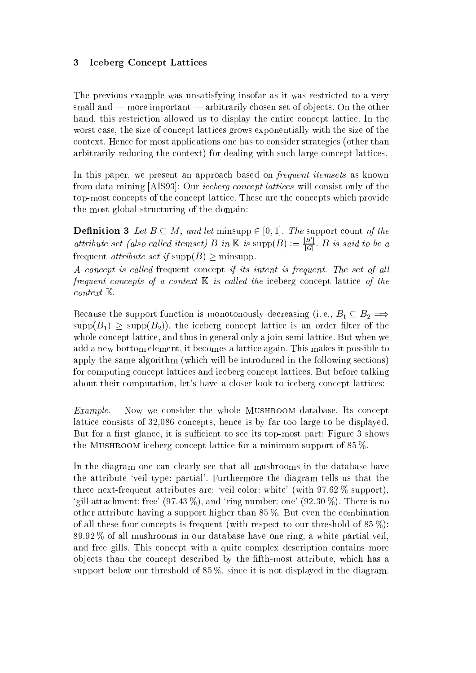# 3 Iceberg Concept Lattices

The previous example was unsatisfying insofar as it was restricted to a very small and  $-$  more important  $-$  arbitrarily chosen set of objects. On the other hand, this restriction allowed us to display the entire concept lattice. In the worst case, the size of concept lattices grows exponentially with the size of the context. Hence for most applications one has to consider strategies (other than arbitrarily reducing the context) for dealing with such large concept lattices.

In this paper, we present an approach based on *frequent itemsets* as known from data mining [AIS93]: Our iceberg concept lattices will consist only of the top-most concepts of the concept lattice. These are the concepts which provide the most global structuring of the domain:

 $\blacksquare$  denote the support  $\blacksquare$  . The support count of the support count of the support count of the support of the support of the support of the support of the support of the support of the support of the support of the attribute set (also called itemset) B in K is supp $(B) := \frac{|B|}{|G|}$ . B is said to be a frequent attribute set if supp(B) minsupp.

A concept is called frequent concept if its intent is frequent. The set of all frequent concepts of a context  $K$  is called the iceberg concept lattice of the  $context$   $K.$ 

Because the support function is monotonously decreasing (i.e.,  $B_1 \subseteq B_2 \Longrightarrow$  $\text{supp}(B_1) \geq \text{supp}(B_2)$ , the iceberg concept lattice is an order filter of the whole concept lattice, and thus in general only a join-semi-lattice. But when we add a new bottom element, it becomes a lattice again. This makes it possible to apply the same algorithm (which will be introduced in the following sections) for computing concept lattices and iceberg concept lattices. But before talking about their computation, let's have a closer look to iceberg concept lattices:

Example. Now we consider the whole Mushroom database. Its concept lattice consists of 32,086 concepts, hence is by far too large to be displayed. But for a first glance, it is sufficient to see its top-most part: Figure 3 shows the MUSHROOM iceberg concept lattice for a minimum support of  $85\%$ .

In the diagram one can clearly see that all mushrooms in the database have the attribute `veil type: partial'. Furthermore the diagram tells us that the three next-frequent attributes are: `veil color: white' (with 97.62 % support), 'gill attachment: free'  $(97.43 \%)$ , and 'ring number: one'  $(92.30 \%)$ . There is no other attribute having a support higher than 85 %. But even the combination of all these four concepts is frequent (with respect to our threshold of  $85\%$ ): 89.92 % of all mushrooms in our database have one ring, a white partial veil, and free gills. This concept with a quite complex description contains more objects than the concept described by the fth-most attribute, which has a support below our threshold of 85 %, since it is not displayed in the diagram.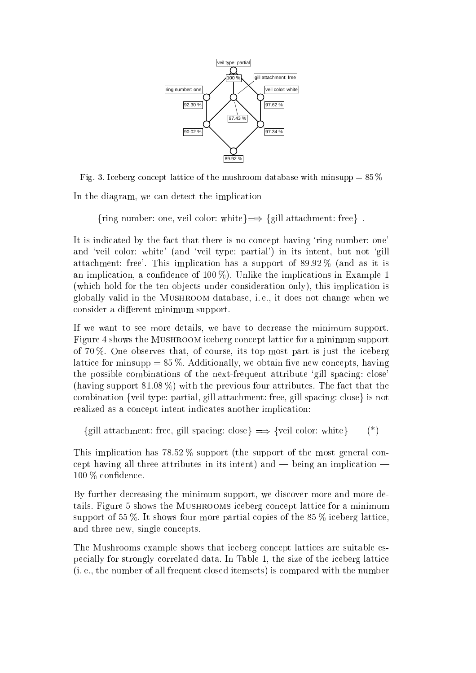

Fig. 3. Iceberg concept lattice of the mushroom database with minsupp  $= 85\%$ 

In the diagram, we can detect the implication

{ring number: one, veil color: white}  $\Longrightarrow$  {gill attachment: free}.

It is indicated by the fact that there is no concept having 'ring number: one' and 'veil color: white' (and 'veil type: partial') in its intent, but not 'gill attachment: free'. This implication has a support of 89.92 % (and as it is an implication, a confidence of 100 %). Unlike the implications in Example 1 (which hold for the ten ob jects under consideration only), this implication is globally valid in the Mushroom database, i. e., it does not change when we consider a different minimum support.

If we want to see more details, we have to decrease the minimum support. Figure 4 shows the Mushroom iceberg concept lattice for a minimum support of 70 %. One observes that, of course, its top-most part is just the iceberg lattice for minsupp  $= 85\%$ . Additionally, we obtain five new concepts, having the possible combinations of the next-frequent attribute `gill spacing: close' (having support 81.08 %) with the previous four attributes. The fact that the combination {veil type: partial, gill attachment: free, gill spacing: close} is not realized as a concept intent indicates another implication:

{gill attachment: free, gill spacing: close}  $\implies$  {veil color: white} (\*)

This implication has  $78.52\%$  support (the support of the most general concept having all three attributes in its intent) and  $-$  being an implication  $100\,\%$  confidence.

By further decreasing the minimum support, we discover more and more details. Figure 5 shows the Mushrooms iceberg concept lattice for a minimum support of 55%. It shows four more partial copies of the 85% iceberg lattice, and three new, single concepts.

The Mushrooms example shows that iceberg concept lattices are suitable especially for strongly correlated data. In Table 1, the size of the iceberg lattice (i. e., the number of all frequent closed itemsets) is compared with the number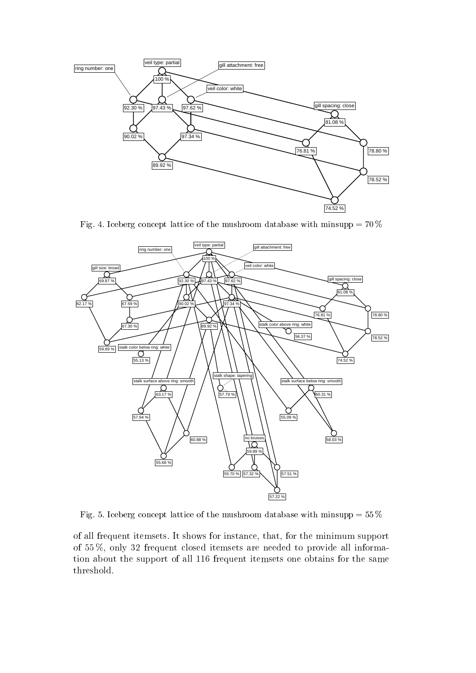

Fig. 4. Iceberg concept lattice of the mushroom database with minsupp =  $70\,\%$ 



Fig. 5. Iceberg concept lattice of the mushroom database with minsupp =  $55\%$ 

of all frequent itemsets. It shows for instance, that, for the minimum support of 55 %, only 32 frequent closed itemsets are needed to provide all information about the support of all 116 frequent itemsets one obtains for the same threshold.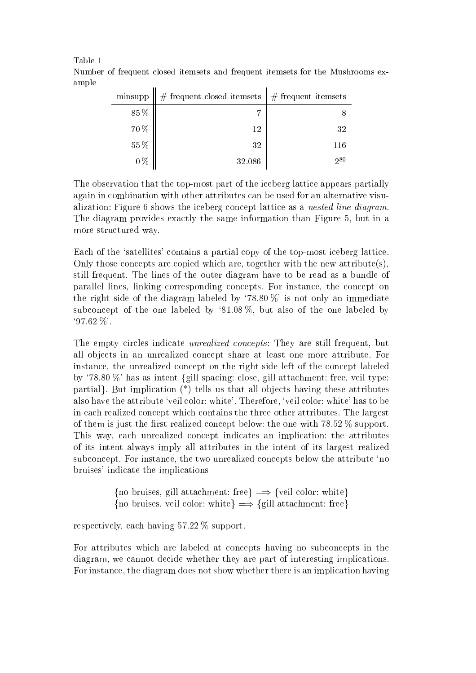Table 1

Number of frequent closed itemsets and frequent itemsets for the Mushrooms example

| minsupp  | $#$ frequent closed itemsets | $#$ frequent itemsets |
|----------|------------------------------|-----------------------|
| $85\,\%$ | 母                            |                       |
| $70\,\%$ | 12                           | 32                    |
| $55\,\%$ | 32                           | 116                   |
| 0%       | 32.086                       | 280                   |

The observation that the top-most part of the iceberg lattice appears partially again in combination with other attributes can be used for an alternative visualization: Figure 6 shows the iceberg concept lattice as a nested line diagram. The diagram provides exactly the same information than Figure 5, but in a more structured way.

Each of the 'satellites' contains a partial copy of the top-most iceberg lattice. Only those concepts are copied which are, together with the new attribute(s), still frequent. The lines of the outer diagram have to be read as a bundle of parallel lines, linking corresponding concepts. For instance, the concept on the right side of the diagram labeled by '78.80  $\%$ ' is not only an immediate subconcept of the one labeled by `81.08 %, but also of the one labeled by `97.62 %'.

The empty circles indicate *unrealized concepts*: They are still frequent, but all ob jects in an unrealized concept share at least one more attribute. For instance, the unrealized concept on the right side left of the concept labeled by '78.80  $\%$ ' has as intent {gill spacing: close, gill attachment: free, veil type: partial}. But implication  $(*)$  tells us that all objects having these attributes also have the attribute `veil color: white'. Therefore, `veil color: white' has to be in each realized concept which contains the three other attributes. The largest of them is just the first realized concept below: the one with  $78.52\%$  support. This way, each unrealized concept indicates an implication: the attributes of its intent always imply all attributes in the intent of its largest realized subconcept. For instance, the two unrealized concepts below the attribute `no bruises' indicate the implications

$$
\{no \; bruisse, \; gill \; attachment: \; free \} \Longrightarrow \{veil \; color: \; white \}
$$
\n
$$
\{no \; bruisse, \; veil \; color: \; white \} \Longrightarrow \{gill \; attachment: \; free \}
$$

respectively, each having 57.22 % support.

For attributes which are labeled at concepts having no subconcepts in the diagram, we cannot decide whether they are part of interesting implications. For instance, the diagram does not show whether there is an implication having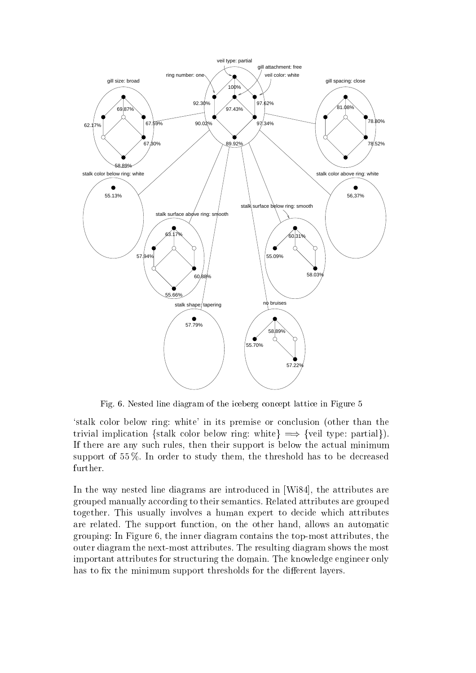

Fig. 6. Nested line diagram of the iceberg concept lattice in Figure 5

`stalk color below ring: white' in its premise or conclusion (other than the trivial implication {stalk color below ring: white}  $\implies$  {veil type: partial}). If there are any such rules, then their support is below the actual minimum support of 55 %. In order to study them, the threshold has to be decreased further.

In the way nested line diagrams are introduced in [Wi84], the attributes are grouped manually according to their semantics. Related attributes are grouped together. This usually involves a human expert to decide which attributes are related. The support function, on the other hand, allows an automatic grouping: In Figure 6, the inner diagram contains the top-most attributes, the outer diagram the next-most attributes. The resulting diagram shows the most important attributes for structuring the domain. The knowledge engineer only has to fix the minimum support thresholds for the different layers.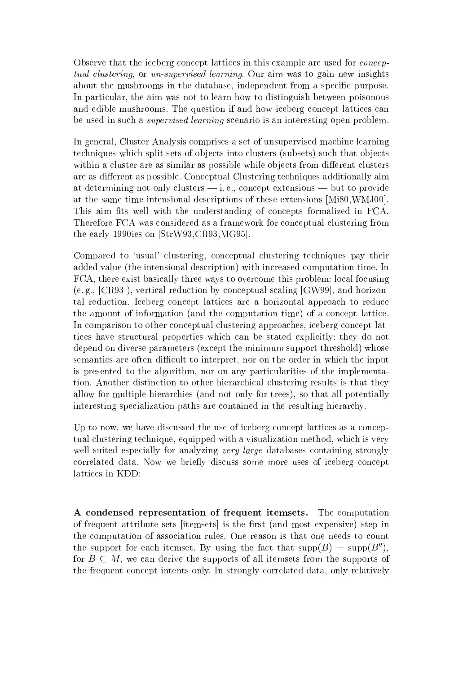Observe that the iceberg concept lattices in this example are used for conceptual clustering, or un-supervised learning. Our aim was to gain new insights about the mushrooms in the database, independent from a specic purpose. In particular, the aim was not to learn how to distinguish between poisonous and edible mushrooms. The question if and how iceberg concept lattices can be used in such a supervised learning scenario is an interesting open problem.

In general, Cluster Analysis comprises a set of unsupervised machine learning techniques which split sets of objects into clusters (subsets) such that objects within a cluster are as similar as possible while objects from different clusters are as different as possible. Conceptual Clustering techniques additionally aim at determining not only clusters  $-$  i.e., concept extensions  $-$  but to provide at the same time intensional descriptions of these extensions [Mi80,WMJ00]. This aim fits well with the understanding of concepts formalized in FCA. Therefore FCA was considered as a framework for conceptual clustering from the early 1990ies on [StrW93,CR93,MG95].

Compared to 'usual' clustering, conceptual clustering techniques pay their added value (the intensional description) with increased computation time. In FCA, there exist basically three ways to overcome this problem: local focusing (e. g., [CR93]), vertical reduction by conceptual scaling [GW99], and horizontal reduction. Iceberg concept lattices are a horizontal approach to reduce the amount of information (and the computation time) of a concept lattice. In comparison to other conceptual clustering approaches, iceberg concept lattices have structural properties which can be stated explicitly: they do not depend on diverse parameters (except the minimum support threshold) whose semantics are often difficult to interpret, nor on the order in which the input is presented to the algorithm, nor on any particularities of the implementation. Another distinction to other hierarchical clustering results is that they allow for multiple hierarchies (and not only for trees), so that all potentially interesting specialization paths are contained in the resulting hierarchy.

Up to now, we have discussed the use of iceberg concept lattices as a conceptual clustering technique, equipped with a visualization method, which is very well suited especially for analyzing very large databases containing strongly correlated data. Now we briefly discuss some more uses of iceberg concept lattices in KDD:

A condensed representation of frequent itemsets. The computation of frequent attribute sets [itemsets] is the first (and most expensive) step in the computation of association rules. One reason is that one needs to count the support for each itemset. By using the fact that  $supp(B) = supp(B'')$ , for B M, we can derive the supports of all itemsets from the supports of the frequent concept intents only. In strongly correlated data, only relatively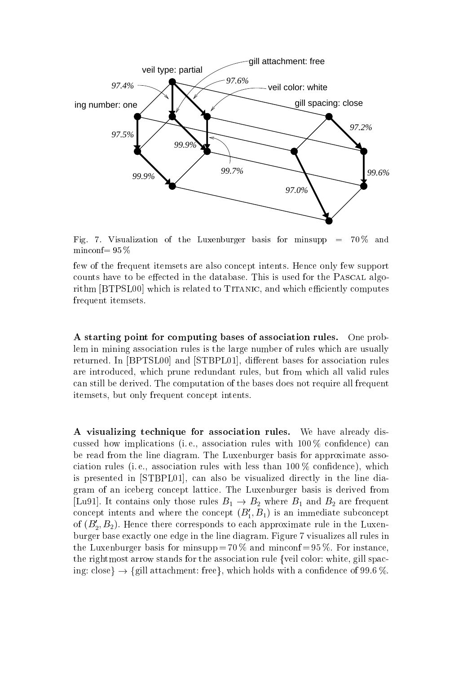

Fig. 7. Visualization of the Luxenburger basis for minsupp  $= 70\%$  and minconf=  $95\%$ 

few of the frequent itemsets are also concept intents. Hence only few support counts have to be effected in the database. This is used for the PASCAL algorithm [BTPSL00] which is related to TITANIC, and which efficiently computes frequent itemsets.

A starting point for computing bases of association rules. One problem in mining association rules is the large number of rules which are usually returned. In [BPTSL00] and [STBPL01], different bases for association rules are introduced, which prune redundant rules, but from which all valid rules can still be derived. The computation of the bases does not require all frequent itemsets, but only frequent concept intents.

A visualizing technique for association rules. We have already discussed how implications (i.e., association rules with  $100\%$  confidence) can be read from the line diagram. The Luxenburger basis for approximate association rules (i.e., association rules with less than  $100\%$  confidence), which is presented in [STBPL01], can also be visualized directly in the line diagram of an iceberg concept lattice. The Luxenburger basis is derived from [Lu91]. It contains only those rules  $B_1 \rightarrow B_2$  where  $B_1$  and  $B_2$  are frequent concept intents and where the concept  $(B_1, B_1)$  is an immediate subconcept of  $(B_2, B_2)$ . Hence there corresponds to each approximate rule in the Luxenburger base exactly one edge in the line diagram. Figure 7 visualizes all rules in the Luxenburger basis for minsupp =  $70\%$  and minconf =  $95\%$ . For instance, the rightmost arrow stands for the association rule fveil color: white, gill spacing: close}  $\rightarrow$  {gill attachment: free}, which holds with a confidence of 99.6 %.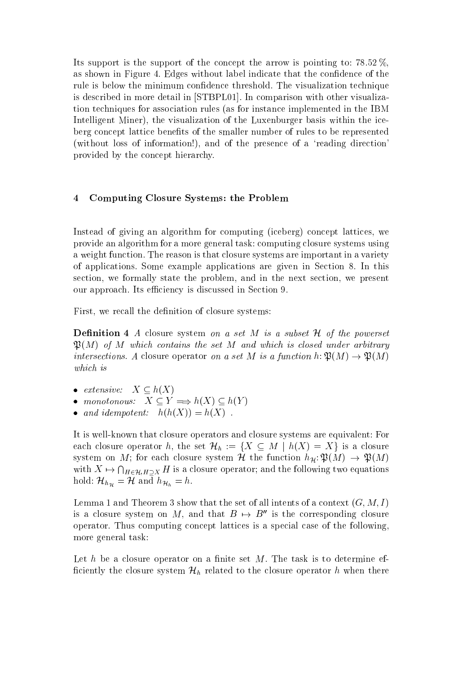Its support is the support of the concept the arrow is pointing to: 78.52 %, as shown in Figure 4. Edges without label indicate that the confidence of the rule is below the minimum condence threshold. The visualization technique is described in more detail in [STBPL01]. In comparison with other visualization techniques for association rules (as for instance implemented in the IBM Intelligent Miner), the visualization of the Luxenburger basis within the iceberg concept lattice benefits of the smaller number of rules to be represented (without loss of information!), and of the presence of a `reading direction' provided by the concept hierarchy.

#### $\overline{\mathbf{4}}$ 4 Computing Closure Systems: the Problem

Instead of giving an algorithm for computing (iceberg) concept lattices, we provide an algorithm for a more general task: computing closure systems using a weight function. The reason is that closure systems are important in a variety of applications. Some example applications are given in Section 8. In this section, we formally state the problem, and in the next section, we present our approach. Its efficiency is discussed in Section 9.

First, we recall the definition of closure systems:

Denition 4 A closure system on a set M is a subset H of the powerset  $\mathfrak{B}(M)$  of M which contains the set M and which is closed under arbitrary intersections. A closure operator on a set M is a function  $h: \mathfrak{B}(M) \to \mathfrak{B}(M)$ which is

- extensive:  $X \subseteq h(X)$
- monotonous:  $X \subseteq Y \Longrightarrow h(X) \subseteq h(Y)$
- and idempotent:  $h(h(X)) = h(X)$ .

It is well-known that closure operators and closure systems are equivalent: For each closure operator h, the set  $\mathcal{E}(\mathcal{H})$  is a closure operator in the set  $\mathcal{H}(\mathcal{H})$  is a closure operator in the set of  $\mathcal{H}(\mathcal{H})$ system on M; for each closure system H the function hH: P(M) ! P(M) with  $X \mapsto \bigcap_{H \in \mathcal{H}, H \supset X} H$  is a closure operator; and the following two equations  $\cdots$   $\cdots$   $\cdots$   $\cdots$ 

Lemma 1 and Theorem 3 show that the set of all intents of a context  $(G, M, I)$ is a closure system on  $M$ , and that  $D \mapsto D$  is the corresponding closure operator. Thus computing concept lattices is a special case of the following, more general task:

Let h be a closure operator on a finite set M. The task is to determine efciently the closure system Hh  $\mu_B$  closure of the closure operator in when the closure operator  $\sim$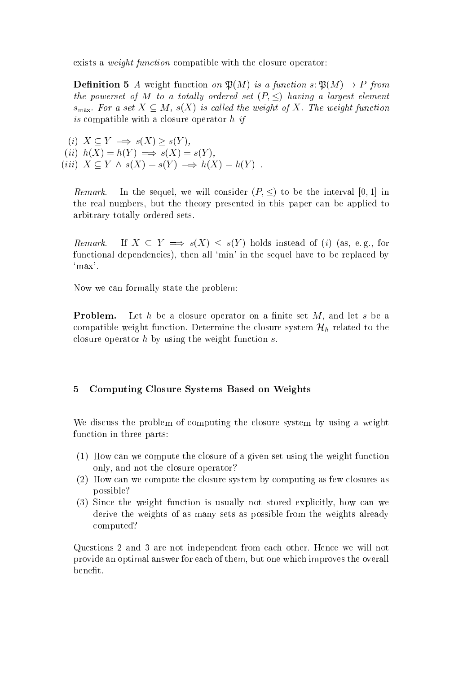exists a weight function compatible with the closure operator:

 $\mathcal{L}$  and  $\mathcal{L}$  are function on P(M) is a function simulation simulation simulation simulation simulation simulation simulation simulation simulation simulation simulation simulation simulation simulation simulation the powerset of M to a totally ordered set  $(P, \leq)$  having a largest element  $s_{\text{max}}$ . For a set  $X \subseteq M$ ,  $s(X)$  is called the weight of X. The weight function is compatible with a closure operator  $h$  if

 $\mathcal{N}$   $\mathcal{N}$   $\mathcal{N}$   $\mathcal{N}$   $\mathcal{N}$   $\mathcal{N}$   $\mathcal{N}$   $\mathcal{N}$   $\mathcal{N}$   $\mathcal{N}$   $\mathcal{N}$   $\mathcal{N}$   $\mathcal{N}$   $\mathcal{N}$   $\mathcal{N}$   $\mathcal{N}$   $\mathcal{N}$   $\mathcal{N}$   $\mathcal{N}$   $\mathcal{N}$   $\mathcal{N}$   $\mathcal{N}$   $\mathcal{N}$   $\mathcal{N}$   $\mathcal{$ (ii)  $h(X) = h(Y) \implies s(X) = s(Y)$ , (iii)  $\frac{1}{2}$  ,  $\frac{1}{2}$  ,  $\frac{1}{2}$  ,  $\frac{1}{2}$  ,  $\frac{1}{2}$  ,  $\frac{1}{2}$  ,  $\frac{1}{2}$  ,  $\frac{1}{2}$  ,  $\frac{1}{2}$ 

Remark. In the sequel, we will consider (P; ) to be the interval [0; 1] in the real numbers, but the theory presented in this paper can be applied to arbitrary totally ordered sets.

Remark. Remarks. It is a set of  $\{X_i\}_{i=1}^N$  is the constraint instead of  $\{Y_i\}_{i=1}^N$  , for  $\{X_i\}_{i=1}^N$ functional dependencies), then all 'min' in the sequel have to be replaced by `max'.

Now we can formally state the problem:

Let h be a closure operator on a finite set  $M$ , and let s be a Problem. compatible weight function. Determine the compatible weight function. Determine the compatible to the compatible to the compatible to the compatible to the compatible to the compatible to the compatible to the compatible t closure operator  $h$  by using the weight function  $s$ .

#### 5 Computing Closure Systems Based on Weights

We discuss the problem of computing the closure system by using a weight function in three parts:

- (1) How can we compute the closure of a given set using the weight function only, and not the closure operator?
- (2) How can we compute the closure system by computing as few closures as possible?
- (3) Since the weight function is usually not stored explicitly, how can we derive the weights of as many sets as possible from the weights already computed?

Questions 2 and 3 are not independent from each other. Hence we will not provide an optimal answer for each of them, but one which improves the overall benefit.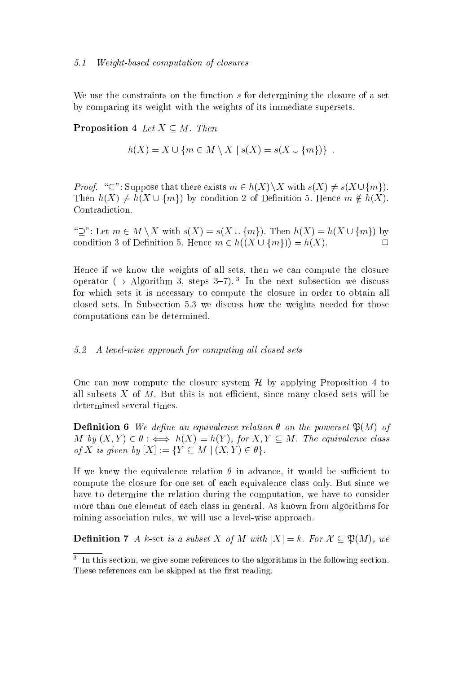We use the constraints on the function  $s$  for determining the closure of a set by comparing its weight with the weights of its immediate supersets.

Proposition 4 LetX M. Then

$$
h(X) = X \cup \{ m \in M \setminus X \mid s(X) = s(X \cup \{ m \}) \}
$$

*Proof.* "C": Suppose that there exists  $m \in h(X) \setminus X$  with  $s(X) \neq s(X \cup \{m\}).$ Then  $h(X) \neq h(X \cup \{m\})$  by condition 2 of Definition 5. Hence  $m \notin h(X)$ . Contradiction.

" $\supseteq$ ": Let  $m \in M \setminus X$  with  $s(X) = s(X \cup \{m\})$ . Then  $h(X) = h(X \cup \{m\})$  by condition 3 of Definition 5. Hence  $m \in h((X \cup \{m\})) = h(X)$ condition 3 of Definition 5. Hence  $m \in h((X \cup \{m\})) = h(X)$ .

Hence if we know the weights of all sets, then we can compute the closure operator  $(\rightarrow$  Algorithm 5, steps 5-7). In the next subsection we discuss for which sets it is necessary to compute the closure in order to obtain all closed sets. In Subsection 5.3 we discuss how the weights needed for those computations can be determined.

#### 5.2 A level-wise approach for computing all closed sets

One can now compute the closure system H by applying Proposition <sup>4</sup> to all subsets  $X$  of  $M$ . But this is not efficient, since many closed sets will be determined several times.

**Definition 6** We define an equivalence relation  $\theta$  on the powerset  $\mathfrak{P}(M)$  of M by  $(X, Y) \in \theta : \iff h(X) = h(Y)$ , for  $X, Y \subseteq M$ . The equivalence class of X is given by  $[X] := \{ Y \subseteq M \mid (X,Y) \in \theta \}.$ 

If we knew the equivalence relation  $\theta$  in advance, it would be sufficient to compute the closure for one set of each equivalence class only. But since we have to determine the relation during the computation, we have to consider more than one element of each class in general. As known from algorithms for mining association rules, we will use a level-wise approach.

**Definition 7** A k-set is a subset X of M with  $|X| = k$ . For  $\mathcal{X} \subset \mathfrak{P}(M)$ , we

<sup>3</sup> In this section, we give some references to the algorithms in the following section. These references can be skipped at the first reading.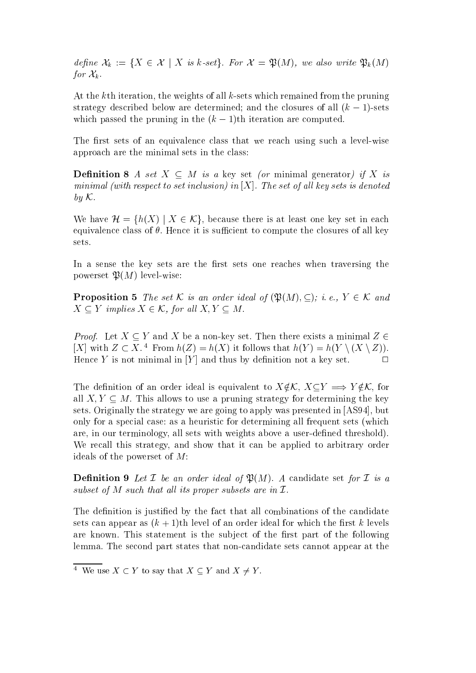denote  $\alpha$  is the set of the set of the P(M), we also write  $\alpha$  is  $\alpha$  is the  $\alpha$  $\mathbf{v}$ 

At the kth iteration, the weights of all  $k$ -sets which remained from the pruning strategy described below are determined; and the closures of all (k 1)-sets which passed the pruning in the  $(k - 1)$ th iteration are computed.

The first sets of an equivalence class that we reach using such a level-wise approach are the minimal sets in the class:

 $\blacksquare$  denote a set  $\blacksquare$  is a set  $\blacksquare$  is a set  $\blacksquare$  is a set  $\blacksquare$  if  $\blacksquare$  is a set of  $\blacksquare$ minimal (with respect to set inclusion) in  $[X]$ . The set of all key sets is denoted by K.

We have  $\mathcal{L}(\mathcal{N})$  is at least one because there is at least one key set in each one key set in each  $\mathcal{L}(\mathcal{N})$ equivalence class of  $\theta$ . Hence it is sufficient to compute the closures of all key sets.

In a sense the key sets are the first sets one reaches when traversing the powerset  $\mathfrak{B}(M)$  level-wise:

Proposition 5 The set K is an order ideal of (P(M); ); i. e., <sup>Y</sup> 2 K and X <sup>Y</sup> implies <sup>X</sup> 2 K, for al l X; Y M.

Proof. Let X <sup>Y</sup> and <sup>X</sup> be a non-key set. Then there exists a minimal <sup>Z</sup> 2 [X] with  $Z \subset X$ .<sup>4</sup> From  $h(Z) = h(X)$  it follows that  $h(Y) = h(Y \setminus (X \setminus Z)).$ Hence Y is not minimal in [Y] and thus by definition not a key set.  $\Box$ 

The definition of an order ideal is equivalent to  $X \notin \mathcal{K}$ ,  $X \subseteq Y \implies Y \notin \mathcal{K}$ , for all  $X, Y \subseteq M$ . This allows to use a pruning strategy for determining the key sets. Originally the strategy we are going to apply was presented in [AS94], but only for a special case: as a heuristic for determining all frequent sets (which are, in our terminology, all sets with weights above a user-defined threshold). We recall this strategy, and show that it can be applied to arbitrary order ideals of the powerset of M:

**Definition 9** Let  $\mathcal I$  be an order ideal of  $\mathfrak{P}(M)$ . A candidate set for  $\mathcal I$  is a subset of M such that all its proper subsets are in  $\mathcal{I}$ .

The definition is justified by the fact that all combinations of the candidate sets can appear as  $(k + 1)$ th level of an order ideal for which the first k levels are known. This statement is the subject of the first part of the following lemma. The second part states that non-candidate sets cannot appear at the

We use  $A \subseteq I$  to say that  $A \subseteq I$  and  $A \neq I$ .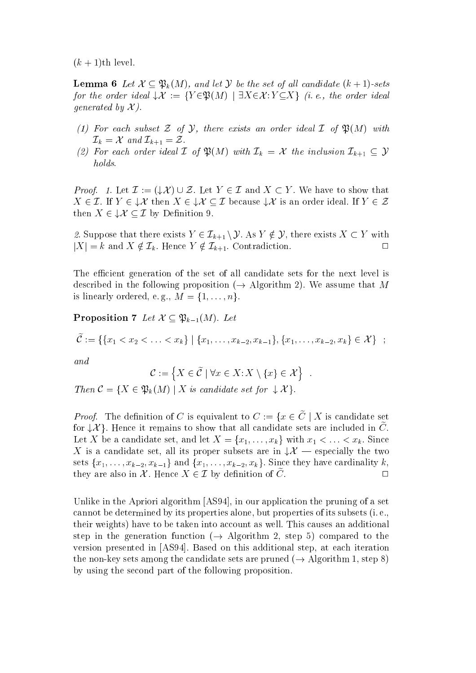$(k+1)$ th level.

**Lemma 6** Let  $\mathcal{X} \subset \mathfrak{P}_k(M)$ , and let Y be the set of all candidate  $(k+1)$ -sets for the order ideal #X := fY 2P(M) j 9X2X : <sup>Y</sup> Xg (i. e., the order ideal generated by  $\alpha$  ,  $\alpha$  ,  $\beta$  ,  $\beta$ 

- (1) For each subset Z of Y, there exists an order ideal I of P(M) with  $\mathcal{I}_k = \mathcal{X}$  and  $\mathcal{I}_{k+1} = \mathcal{Z}$ .
- (2) For each order ideal  $\equiv$   $\gamma$  (F(H) with  $\equiv$   $\kappa$   $\equiv$   $\gamma$  . The inclusion is  $\gamma$   $\equiv$   $\kappa$ holds.

 $\mathcal{P}$  : (  $\mathcal{P}$  ) = (  $\mathcal{P}$  ) = (  $\mathcal{P}$  . We have to show that  $\mathcal{P}$  is shown that  $\mathcal{P}$  is shown that  $\mathcal{P}$  is shown that  $\mathcal{P}$  is shown that  $\mathcal{P}$  is shown that  $\mathcal{P}$  is shown that  $\mathcal{P}$  $X \in \mathcal{I}$ . If  $Y \in \mathcal{X}$  then  $X \in \mathcal{X} \subseteq \mathcal{I}$  because  $\mathcal{X}$  is an order ideal. If  $Y \in \mathcal{Z}$  $\mathbf{y} = \mathbf{y} \cdot \mathbf{y} = \mathbf{y} \cdot \mathbf{y}$  becomes 9.

2. Suppose that there exists  $Y \in \mathcal{I}_{k+1} \backslash \mathcal{Y}$ . As  $Y \notin \mathcal{Y}$ , there exists  $X \subset Y$  with  $|X| = k$  and  $X \notin \mathcal{I}_k$ . Hence  $Y \notin \mathcal{I}_{k+1}$ . Contradiction.

The efficient generation of the set of all candidate sets for the next level is described in the following proposition ( $\rightarrow$  Algorithm 2). We assume that M is linearly ordered, e.g.,  $M = \{1, \ldots, n\}.$ 

**Proposition 7** Let  $\mathcal{X} \subseteq \mathfrak{P}_{k-1}(M)$ . Let

$$
\widetilde{\mathcal{C}} := \{ \{x_1 < x_2 < \ldots < x_k\} \mid \{x_1, \ldots, x_{k-2}, x_{k-1}\}, \{x_1, \ldots, x_{k-2}, x_k\} \in \mathcal{X} \} ;
$$

and

$$
\mathcal{C} := \left\{ X \in \widetilde{\mathcal{C}} \mid \forall x \in X : X \setminus \{x\} \in \mathcal{X} \right\} .
$$

 $T = \frac{1}{2} \sum_{i} P_{k}(x_i, y_i)$  is calculated set for  $\sum_{i} P_{k}(x_i, y_i)$ .

*Proof.* The definition of C is equivalent to  $C := \{x \in C \mid \Lambda \text{ is candidate set}$ for  $\{\mathcal{X}\}\$ . Hence it remains to show that all candidate sets are included in  $\tilde{C}$ . Let X be a candidate set, and let  $X = \{x_1, \ldots, x_k\}$  with  $x_1 < \ldots < x_k$ . Since x is a candidate set, and its proper subsets are in #X | especially the two two sets  $\{x_1,\ldots,x_{k-2},x_{k-1}\}\$  and  $\{x_1,\ldots,x_{k-2},x_k\}$ . Since they have cardinality k, they are also in X. Hence  $X \in \mathcal{I}$  by definition of  $\tilde{C}$ .  $\Box$ 

Unlike in the Apriori algorithm [AS94], in our application the pruning of a set cannot be determined by its properties alone, but properties of its subsets (i. e., their weights) have to be taken into account as well. This causes an additional step in the generation function ( $\rightarrow$  Algorithm 2, step 5) compared to the version presented in [AS94]. Based on this additional step, at each iteration the non-key sets among the candidate sets are pruned  $(\rightarrow$  Algorithm 1, step 8) by using the second part of the following proposition.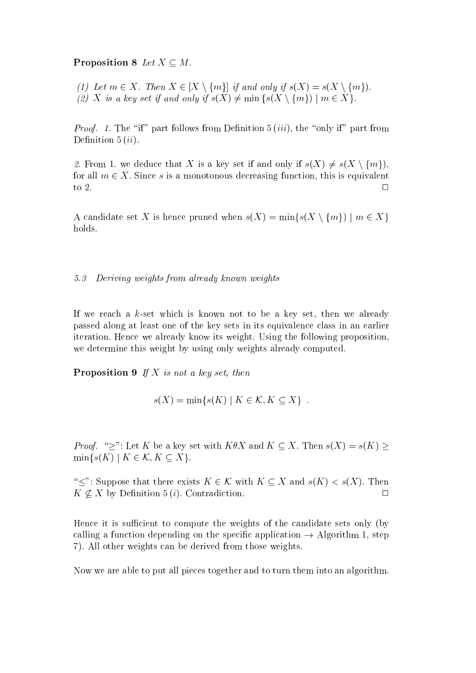## Proposition 8 Let  $\mathcal{L}$  2 Let  $\mathcal{L}$  2 Let  $\mathcal{L}$

(1)  $\frac{1}{2}$  and  $\frac{1}{2}$  and  $\frac{1}{2}$  if  $\frac{1}{2}$  if  $\frac{1}{2}$  and  $\frac{1}{2}$  if  $\frac{1}{2}$  if  $\frac{1}{2}$  if  $\frac{1}{2}$  if  $\frac{1}{2}$  if  $\frac{1}{2}$  if  $\frac{1}{2}$  if  $\frac{1}{2}$  if  $\frac{1}{2}$  if  $\frac{1}{2}$  if  $\frac{1}{2}$  if  $\frac{1}{$ (2) X is a key set if and only if  $s(X) \neq \min \{s(X \setminus \{m\}) \mid m \in X\}.$ 

*Proof.* 1. The "if" part follows from Definition  $5 (iii)$ , the "only if" part from Definition  $5(ii)$ .

2. From 1. we deduce that  $\mathcal{L} = \mathcal{L} \times \mathcal{L}$  is a set if and only if s(x)  $\mathcal{L} = \{L_1, L_2, \ldots, L_n\}$ for all <sup>m</sup> 2 X. Since <sup>s</sup> is a monotonous decreasing function, this is equivalent to 2. <sup>2</sup>

A candidate set X is hence pruned when  $s(X) = \min\{s(X \setminus \{m\}) \mid m \in X\}$ holds.

 $5.3$ 5.3 Deriving weights from already known weights

If we reach a  $k$ -set which is known not to be a key set, then we already passed along at least one of the key sets in its equivalence class in an earlier iteration. Hence we already know its weight. Using the following proposition, we determine this weight by using only weights already computed.

**Proposition 9** If  $X$  is not a key set, then

$$
s(X) = \min\{s(K) \mid K \in \mathcal{K}, K \subseteq X\} .
$$

*Proof.* " $\geq$ ": Let K be a key set with  $K\theta X$  and  $K \subseteq X$ . Then  $s(X) = s(K) \geq$  $\min\{s(K) \mid K \in \mathcal{K}, K \subseteq X\}.$ 

" $\leq$ ": Suppose that there exists  $K \in \mathcal{K}$  with  $K \subseteq X$  and  $s(K) < s(X)$ . Then  $K \not\subset X$  by Definition 5(*i*). Contradiction. K 6 <sup>X</sup> by Denition 5 (i). Contradiction. <sup>2</sup>

Hence it is sufficient to compute the weights of the candidate sets only (by calling a function depending on the specific application  $\rightarrow$  Algorithm 1, step 7). All other weights can be derived from those weights.

Now we are able to put all pieces together and to turn them into an algorithm.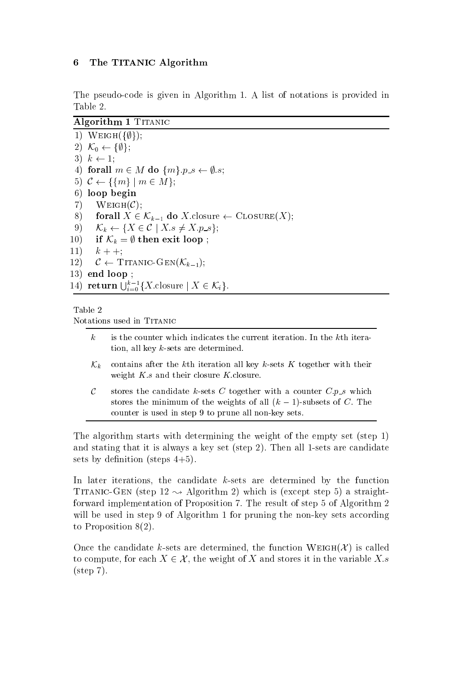# 6 The TITANIC Algorithm

The pseudo-code is given in Algorithm 1. A list of notations is provided in Table 2.

Algorithm 1 TITANIC

1)  $WEGH(\{\emptyset\});$ 2)  $\mathcal{K}_0 \leftarrow {\emptyset};$ 3)  $k \leftarrow 1$ ; 4) forall m 2 <sup>M</sup> do fmg:p s ;:s; 5)  $C \leftarrow \{\{m\} \mid m \in M\};$ 6) loop begin 7) WEIGH $(\mathcal{C})$ ;  $\begin{array}{c} 8 \times 1 \ \hline \end{array}$  for  $\begin{array}{c} 2 \times 1 \ \hline \end{array}$ 9)  $\mathcal{K}_k \leftarrow \{ X \in \mathcal{C} \mid X.s \neq X.p.s \};$ <br>10) if  $\mathcal{K}_k = \emptyset$  then exit loop; 10) if  $\mathbb{R}^n$  if  $\mathbb{R}^n$  if then exit loop  $\mathbb{R}^n$  if the set of  $\mathbb{R}^n$  if the set of  $\mathbb{R}^n$  if  $\mathbb{R}^n$  if  $\mathbb{R}^n$  if  $\mathbb{R}^n$  if  $\mathbb{R}^n$  if  $\mathbb{R}^n$  if  $\mathbb{R}^n$  if  $\mathbb{R}^n$  if  $\mathbb{R}^n$ 11)  $k + +$ ;  $12$  C Titanic-General contracts and  $12$ 13) end loop ; 14) return  $\bigcup_{i=0}^{\infty} \{X.\text{closure} \mid X \in \mathcal{N}_i\}.$ 

Table 2 Notations used in Titanic

- $k$  is the counter which indicates the current iteration. In the kth iteration, all key k-sets are determined.
- $\mathcal{K}_k$  contains after the kth iteration all key k-sets K together with their weight  $K.s$  and their closure  $K$ .closure.
- C stores the candidate k-sets C together with a counter  $C.p.s$  which stores the minimum of the weights of all  $(k - 1)$ -subsets of C. The counter is used in step 9 to prune all non-key sets.

The algorithm starts with determining the weight of the empty set (step 1) and stating that it is always a key set (step 2). Then all 1-sets are candidate sets by definition (steps  $4+5$ ).

In later iterations, the candidate  $k$ -sets are determined by the function TITANIC-GEN (step  $12 \rightsquigarrow$  Algorithm 2) which is (except step 5) a straightforward implementation of Proposition 7. The result of step 5 of Algorithm 2 will be used in step 9 of Algorithm 1 for pruning the non-key sets according to Proposition 8(2).

Once the candidate k-sets are determined, the function  $WEGH(X)$  is called to compute, for each  $X \in \mathcal{X}$ , the weight of X and stores it in the variable X.s (step 7).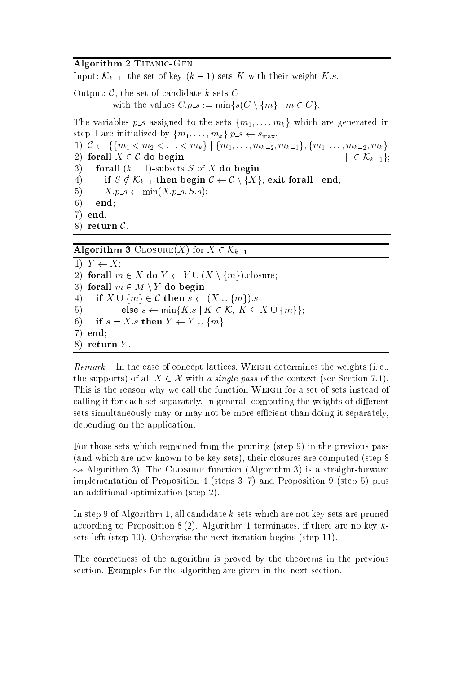#### Algorithm 2 TITANIC-GEN

Input: Kk1, the set of key (k 1)-sets <sup>K</sup> with their weight K:s.

Output: C, the set of candidate k-sets C, the sets C, the sets C, the sets C, the sets C, the sets C, the sets C, the sets C, the sets C, the sets C, the sets C, the sets C, the sets C, the sets C, the sets C, the sets C,

with the values  $C.p.s := \min\{s(C \setminus \{m\} \mid m \in C\}.$ 

The variables p s assigned to the sets  $\{m_1,\ldots,m_k\}$  which are generated in step 1 are initialized by  $\{m_1,\ldots,m_k\}.p\_s \leftarrow s_{\text{max}}.$ 

1)  $C \leftarrow \{\{m_1 < m_2 < \ldots < m_k\} \mid \{m_1, \ldots, m_{k-2}, m_{k-1}\}, \{m_1, \ldots, m_{k-2}, m_k\}$ 

- 2) forall  $X \in \mathcal{C}$  do begin  $2 \times 2$  contracts  $2 \times 2$  K king  $2 \times 2$  K king  $2 \times 2$  K king  $2 \times 2$  K king  $2 \times 2$  K king  $2 \times 2$  K king  $2 \times 2$  K king  $2 \times 2$  K king  $2 \times 2$  K king  $2 \times 2$  K king  $2 \times 2$  K king  $2 \times 2$  K king  $2 \times 2$  K king  $2 \times 2$
- $\overline{1}$  for all  $\overline{1}$  do begin  $\overline{1}$  do begin  $\overline{1}$  do begin  $\overline{1}$  do begin  $\overline{1}$  do begin  $\overline{1}$  do begin  $\overline{1}$  do begin  $\overline{1}$  do begin  $\overline{1}$  do begin  $\overline{1}$  do begin  $\overline{1}$  do begin  $\overline{1$
- 4) if  $S \notin \mathcal{K}_{k-1}$  then begin  $C \leftarrow C \setminus \{X\}$ ; exit forall ; end;<br>5)  $X.p.s \leftarrow \min(X.p.s, S.s)$ ;
- $X.p_s \leftarrow \min(X.p_s, S.s);$
- 6) end;
- 7) end;
- 8, <u>return C.</u>

Algorithm 3 CLOSURE(X) for  $X \in \mathcal{K}_{k-1}$  $\frac{1}{k+1}$ 

1)  $Y \leftarrow X$ ;  $\frac{1}{2}$  for all m 2 is  $\frac{1}{2}$  if  $\frac{1}{2}$  or  $\frac{1}{2}$  (i.e.,  $\frac{1}{2}$ )): contains;  $\sim$  1 m  $\sim$  1 m  $\sim$  1 m  $\sim$  1 m  $\sim$  1 m  $\sim$  $\frac{1}{2}$  if  $\frac{1}{2}$  if  $\frac{1}{2}$  if  $\frac{1}{2}$  if  $\frac{1}{2}$  if  $\frac{1}{2}$  if  $\frac{1}{2}$  if  $\frac{1}{2}$  if  $\frac{1}{2}$  if  $\frac{1}{2}$  if  $\frac{1}{2}$  if  $\frac{1}{2}$  if  $\frac{1}{2}$  if  $\frac{1}{2}$  if  $\frac{1}{2}$  if  $\frac{1}{2}$  if  $\frac{1}{2}$  if 5) else s minfK:s j <sup>K</sup> 2 K; <sup>K</sup> <sup>X</sup> [ fmgg; 6) if  $s = X.s$  then  $Y \leftarrow Y \cup \{m\}$ 7) end; 8) return  $Y$ .

Remark. In the case of concept lattices, WEIGH determines the weights (i.e.,  $\begin{array}{ccc} \n\text{I} & \text{I} & \text{I} \\
\text{I} & \text{I} & \text{I}\n\end{array}$ This is the reason why we call the function  $\mathcal{M}$  for a set of sets instead of sets instead of sets instead of sets in calling it for each set separately. In general, computing the weights of different sets simultaneously may or may not be more efficient than doing it separately, depending on the application.

For those sets which remained from the pruning (step 9) in the previous pass (and which are now known to be key sets), their closures are computed (step 8  $\mathcal{A}$  . The Closure  $\mathcal{A}$  is a straight-form  $\mathcal{A}$  is a straight-form  $\mathcal{A}$  is a straight-form  $\mathcal{A}$ implementation of Proposition 4 (steps  $3-7$ ) and Proposition 9 (step 5) plus an additional optimization (step 2).

In step 9 of Algorithm 1, all candidate k-sets which are not key sets are pruned according to Proposition 8(2). Algorithm 1 terminates, if there are no key  $k$ sets left (step 10). Otherwise the next iteration begins (step 11).

The correctness of the algorithm is proved by the theorems in the previous section. Examples for the algorithm are given in the next section.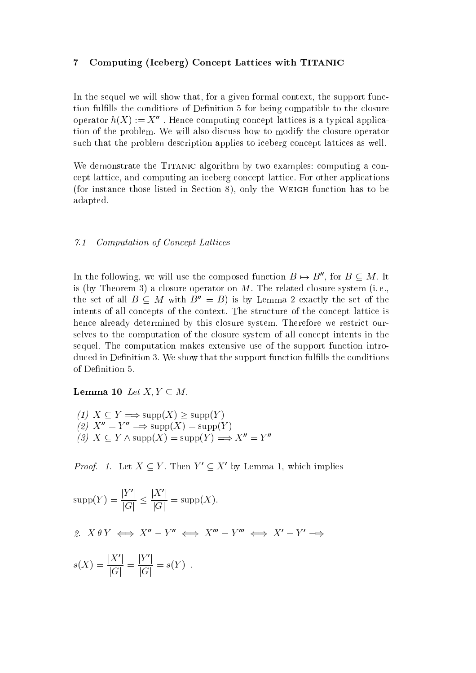#### 7 Computing (Iceberg) Concept Lattices with TITANIC

In the sequel we will show that, for a given formal context, the support function fulfills the conditions of Definition 5 for being compatible to the closure operator  $h(X) := X''$ . Hence computing concept lattices is a typical application of the problem. We will also discuss how to modify the closure operator such that the problem description applies to iceberg concept lattices as well.

We demonstrate the TITANIC algorithm by two examples: computing a concept lattice, and computing an iceberg concept lattice. For other applications (for instance those listed in Section 8), only the Weigh function has to be adapted.

#### $7.1$ 7.1 Computation of Concept Lattices

In the following, we will use the composed function  $D \mapsto D$  , for  $D \subseteq M$ . It is (by Theorem 3) a closure operator on  $M$ . The related closure system (i.e., the set of all  $B\subseteq M$  with  $B\equiv D$ ) is by Lemma 2 exactly the set of the intents of all concepts of the context. The structure of the concept lattice is hence already determined by this closure system. Therefore we restrict ourselves to the computation of the closure system of all concept intents in the sequel. The computation makes extensive use of the support function introduced in Definition 3. We show that the support function fulfills the conditions of Definition 5.

**Lemma 10** Let  $X, Y \subset M$ .

(1) X <sup>Y</sup> =) supp(X) supp(Y ) (2)  $X'' = Y'' \Longrightarrow supp(X) = supp(Y)$ (3)  $\Lambda \subseteq I$   $\land$  supp( $\Lambda$ ) = supp(Y )  $\Longrightarrow$   $\Lambda$  = Y

*Proof.* 1. Let  $A \subseteq I$ . Then  $Y \subseteq A$  by Lemma 1, which implies

$$
supp(Y) = \frac{|Y'|}{|G|} \le \frac{|X'|}{|G|} = supp(X).
$$
  
\n2.  $X \theta Y \iff X'' = Y'' \iff X''' = Y''' \iff X' = Y' \implies$   
\n
$$
s(X) = \frac{|X'|}{|G|} = \frac{|Y'|}{|G|} = s(Y).
$$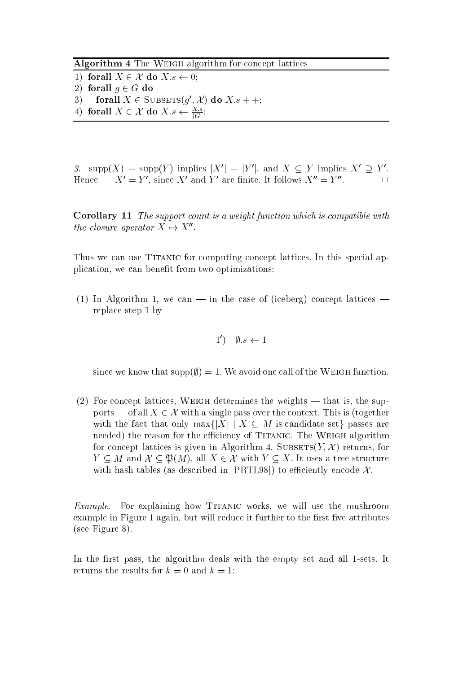Algorithm 4 The Weigh algorithm for concept lattices

- $\frac{1}{2}$  for all  $\frac{1}{2}$  do  $\frac{1}{2}$  do  $\frac{1}{2}$  do  $\frac{1}{2}$  do  $\frac{1}{2}$  do  $\frac{1}{2}$  do  $\frac{1}{2}$  do  $\frac{1}{2}$  do  $\frac{1}{2}$  do  $\frac{1}{2}$  do  $\frac{1}{2}$  do  $\frac{1}{2}$  do  $\frac{1}{2}$  do  $\frac{1}{2}$  do  $\frac{1}{2}$  do  $\frac{1}{2}$
- $2$  for all g  $2$  G dominates  $\overline{z}$  and  $\overline{z}$  dominates  $\overline{z}$  and  $\overline{z}$  dominates  $\overline{z}$  and  $\overline{z}$  dominates  $\overline{z}$  and  $\overline{z}$  and  $\overline{z}$  and  $\overline{z}$  and  $\overline{z}$  and  $\overline{z}$  and  $\overline{z}$  and  $\overline$
- $\lambda$ ) for all  $\Lambda \in \text{SUBSEIS}(q, \Lambda)$  do  $\Lambda.s + +$ ;
- 4) for all  $\Lambda \in \mathcal{X}$  do  $\Lambda.s \leftarrow \frac{1}{|G|};$

3. supp $(X)$  = supp $(Y)$  implies  $|X| = |Y|$ , and  $X \subseteq Y$  implies  $X \supseteq Y$ . Hence  $X' = Y'$ , since X' and Y' are finite. It follows  $X'' = Y''$ .

Corollary 11 The support count is a weight function which is compatible with the closure operator  $\Lambda \mapsto \Lambda$ .

Thus we can use TITANIC for computing concept lattices. In this special application, we can benet from two optimizations:

(1) In Algorithm 1, we can — in the case of (iceberg) concept lattices replace step 1 by

$$
1') \quad \emptyset.s \leftarrow 1
$$

since we know that  $supp(\emptyset) = 1$ . We avoid one call of the WEIGH function.

(2) For concept lattices, WEIGH determines the weights  $-$  that is, the sup $p \rightarrow p$  is all  $\alpha$   $\rightarrow p$  with a single pass over the context. This is (togethere) with the fact that only maximum maximum maximum maximum maximum maximum maximum maximum maximum maximum maximum needed) the reason for the efficiency of TITANIC. The WEIGH algorithm for concept lattices is given in Algorithm 4. SUBSETS $(Y, \mathcal{X})$  returns, for  $Y = Y$  and  $Y = (N+1)$ , all  $Y = Y$  with  $Y = Y$  with  $Y = Y$  with  $Y = Y$ . with hash tables (as described in [PBTL98]) to efficiently encode  $\mathcal{X}$ .

Example. For explaining how TITANIC works, we will use the mushroom example in Figure 1 again, but will reduce it further to the first five attributes (see Figure 8).

In the first pass, the algorithm deals with the empty set and all 1-sets. It returns the results for  $k = 0$  and  $k = 1$ :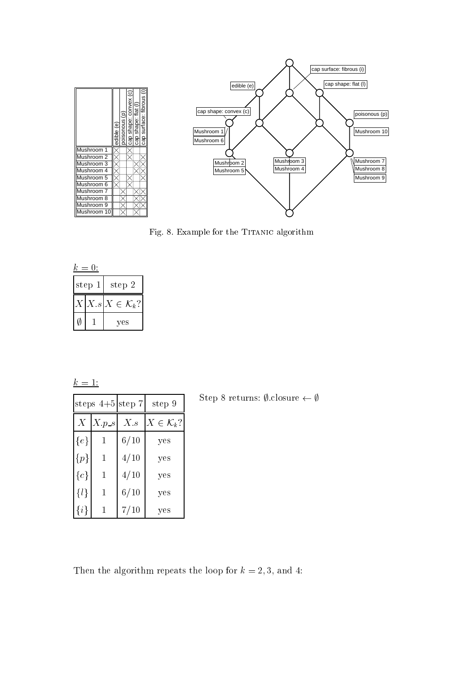



Fig. 8. Example for the TITANIC algorithm

| $k=0$ : |                               |  |
|---------|-------------------------------|--|
|         | step $1$ step 2               |  |
|         | $X X.s X \in \mathcal{K}_k$ ? |  |
|         | yes                           |  |

|  | ۰.<br>× |  |
|--|---------|--|
|  |         |  |
|  |         |  |

|         |              | steps $4+5$ step 7 | step 9                  | Step 8 |
|---------|--------------|--------------------|-------------------------|--------|
| X       | $X.p_s$      | X.s                | $X \in \mathcal{K}_k$ ? |        |
| $\{e\}$ |              | 6/10               | yes                     |        |
| $\{p\}$ | 1            | 4/10               | yes                     |        |
| ${c}$   | $\mathbf{1}$ | 4/10               | yes                     |        |
| $\{l\}$ | 1            | 6/10               | yes                     |        |
| $\{i\}$ |              | 7/10               | yes                     |        |

Then the algorithm repeats the loop for  $k = 2, 3$ , and 4: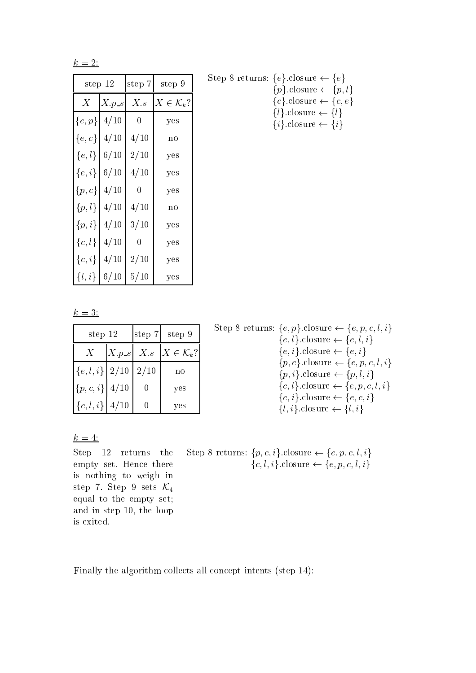$k=2$ :

|                  | step 12                  | step 7   | step 9                  | Step 8 |
|------------------|--------------------------|----------|-------------------------|--------|
| $X^-$            | $ X.p_s  X.s$            |          | $X \in \mathcal{K}_k$ ? |        |
| $\{e, p\}$ 4/10  |                          | $\theta$ | yes                     |        |
| ${e, c}$   4/10  |                          | 4/10     | no                      |        |
|                  | $\{e, l\}$ 6/10   2/10   |          | yes                     |        |
|                  | $\{e, i\}$   6/10        | 4/10     | yes                     |        |
| $\{p,c\}$ 4/10   |                          | 0        | yes                     |        |
|                  | $\{p,l\}$   $4/10$       | 4/10     | no                      |        |
|                  | $\{p,i\}$ 4/10 3/10      |          | yes                     |        |
| ${c,l}$   $4/10$ |                          | 0        | yes                     |        |
|                  | $\{c,i\}$   4/10         | 2/10     | yes                     |        |
|                  | $\{l, i\}$   6/10   5/10 |          | yes                     |        |

Step 8 returns: 
$$
\{e\}
$$
. closure  $\leftarrow \{e\}$  $\{p\}$ . closure  $\leftarrow \{p, l\}$  $\{c\}$ . closure  $\leftarrow \{c, e\}$  $\{l\}$ . closure  $\leftarrow \{l\}$  $\{i\}$ . closure  $\leftarrow \{l\}$ 

 $k = 3$ :

| step 12                                                                              |  | step 7 step 9                            | Step 8 |
|--------------------------------------------------------------------------------------|--|------------------------------------------|--------|
| $X^-$                                                                                |  | $ X.p_s $ $X.s$ $ X \in \mathcal{K}_k$ ? |        |
| $\left  \, {\left\{ {e,l,i} \right\}} \, \right \,2/10 \, \left  \,{\,2/10} \right $ |  | no                                       |        |
| $\left \{p,c,i\}\right $ $4/10$                                                      |  | yes                                      |        |
| $\left[ \{c, l, i\} \right]$ 4/10                                                    |  | yes                                      |        |

$$
k=4:
$$

Step 12 returns the Step empty set. Hence there is nothing to weigh in step 7. Step 9 sets K4 sets K4 sets K4 sets K4 sets K4 sets K4 sets K4 sets K4 sets K4 sets K4 sets K4 sets K4 equal to the empty set; and in step 10, the loop is exited.

Step 8 returns: 
$$
\{e, p\}
$$
.closure  $\leftarrow \{e, p, c, l, i\}$  $\{e, l\}$ .closure  $\leftarrow \{e, l, i\}$  $\{e, i\}$ .closure  $\leftarrow \{e, i\}$  $\{p, c\}$ .closure  $\leftarrow \{e, p, c, l, i\}$  $\{p, c\}$ .closure  $\leftarrow \{e, p, c, l, i\}$  $\{p, i\}$ .closure  $\leftarrow \{p, l, i\}$  $\{c, l\}$ .closure  $\leftarrow \{e, p, c, l, i\}$  $\{c, i\}$ .closure  $\leftarrow \{e, p, c, l\}$  $\{l, i\}$ .closure  $\leftarrow \{e, c, i\}$ 

Step 8 returns: 
$$
\{p, c, i\}
$$
. closure  $\leftarrow \{e, p, c, l, i\}$  $\{c, l, i\}$ . closure  $\leftarrow \{e, p, c, l, i\}$ 

Finally the algorithm collects all concept intents (step 14):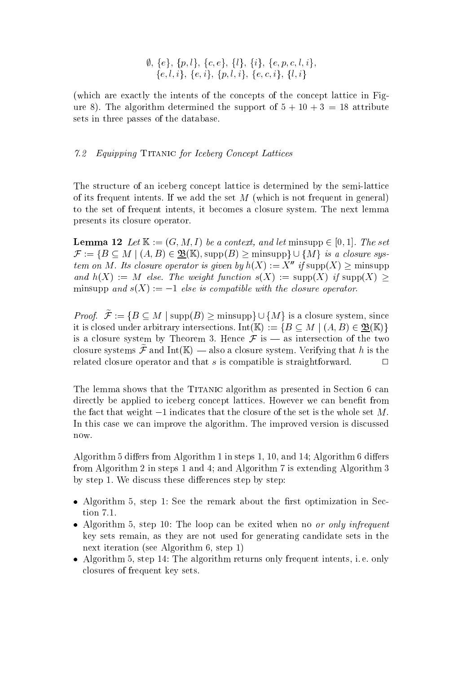$$
\emptyset, \{e\}, \{p,l\}, \{c,e\}, \{l\}, \{i\}, \{e,p,c,l,i\},\\ \{e,l,i\}, \{e,i\}, \{p,l,i\}, \{e,c,i\}, \{l,i\}
$$

(which are exactly the intents of the concepts of the concept lattice in Figure 8). The algorithm determined the support of  $5 + 10 + 3 = 18$  attribute sets in three passes of the database.

#### 7.2 Equipping Titanic for Iceberg Concept Lattices

The structure of an iceberg concept lattice is determined by the semi-lattice of its frequent intents. If we add the set  $M$  (which is not frequent in general) to the set of frequent intents, it becomes a closure system. The next lemma presents its closure operator.

**Lemma 12** Let  $\mathbb{K} := (G, M, I)$  be a context, and let minsupp  $\in [0, 1]$ . The set  $\mathcal{F} := \{ B \subseteq M \mid (A, B) \in \underline{\mathfrak{B}}(\mathbb{K}), \mathrm{supp}(B) \ge \text{minsupp}\} \cup \{M\}$  is a closure system on M. Its closure operator is given by  $h(X) := X''$  if  $\text{supp}(X) > \text{minsupp}$ and h(X) := M else. The weight function s(X) if supply(X) if supply(X) if supply(X) if supply(X) if supply(X) if supply(X) if supply(X) if supply(X) if supply(X) if supply(X) if supply(X) if supply(X) if supply(X) if supp minsupp and  $s(X) := -1$  else is compatible with the closure operator.

*Proof.*  $\mathcal{F} := \{ D \subseteq M \mid \text{supp}(D) \geq \text{minsupp}\} \cup \{ M \}$  is a closure system, since it is closed under arbitrary intersections. Int(K) :=  $\{B \subseteq M \mid (A, B) \in \underline{\mathfrak{B}}(\mathbb{K})\}$ is a closure system by Theorem 3. Hence F is <sup>|</sup> as intersection of the two closure systems  $\widetilde{\mathcal{F}}$  and Int(K) — also a closure system. Verifying that h is the related closure operator and that s is compatible is straightforward.  $\Box$ 

The lemma shows that the TITANIC algorithm as presented in Section 6 can directly be applied to iceberg concept lattices. However we can benet from the fact that weight  $-1$  indicates that the closure of the set is the whole set M. In this case we can improve the algorithm. The improved version is discussed now.

Algorithm 5 differs from Algorithm 1 in steps 1, 10, and 14; Algorithm 6 differs from Algorithm 2 in steps 1 and 4; and Algorithm 7 is extending Algorithm 3 by step 1. We discuss these differences step by step:

- Algorithm 5, step 1: See the remark about the first optimization in Section 7.1.
- Algorithm 5, step 10: The loop can be exited when no or only infrequent key sets remain, as they are not used for generating candidate sets in the next iteration (see Algorithm 6, step 1)
- Algorithm 5, step 14: The algorithm returns only frequent intents, i. e. only closures of frequent key sets.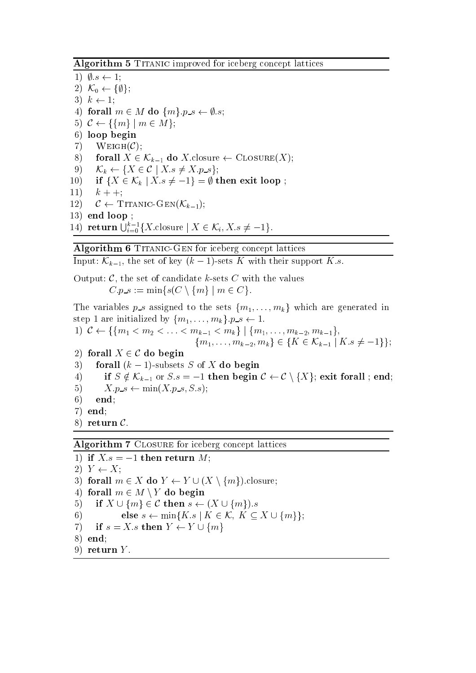Algorithm 5 TITANIC improved for iceberg concept lattices

1)  $\emptyset$ .s  $\leftarrow$  1; 2)  $\mathcal{K}_0 \leftarrow {\emptyset};$ 3)  $k \leftarrow 1$ ; 4) forall m 2 <sup>M</sup> do fmg:p s ;:s; 5)  $C \leftarrow \{\{m\} \mid m \in M\};$ 6) loop begin 7) WEIGH $(\mathcal{C})$ ;  $\mathcal{L}$  for all  $\mathcal{L}$   $\mathcal{L}$   $\mathcal{L}$ <sub>n</sub> do  $\mathcal{L}$  and  $\mathcal{L}$  contributes  $\mathcal{L}$  . Contributed  $\mathcal{L}$ 9)  $\mathcal{K}_k \leftarrow \{ X \in \mathcal{C} \mid X.s \neq X.p.s \};$ <br>10) if  $\{ X \in \mathcal{K}_k \mid X.s \neq -1 \} = \emptyset$  t 10) if  $\{X \in \mathcal{K}_k \mid X.s \neq -1\} = \emptyset$  then exit loop ;<br>11)  $k + +$ :  $k + +$ ; 12) C Titanic-Gen(Kk1);  $13)$  end loop

14) return  $\bigcup_{i=0} \{ \Lambda \cdot \text{closure} \mid A \in \mathcal{N}_i, A \cdot s \neq -1 \}.$ 

## Algorithm 6 TITANIC-GEN for iceberg concept lattices

Input: Key (the set of the set of the sets K with the sets K with the support K with the support K with the support K

Output: C, the set of candidate k-sets <sup>C</sup> with the values  $C.p\_s := \min\{s(C \setminus \{m\} \mid m \in C\}.$ 

The variables p s assigned to the sets  ${m_1, \ldots, m_k}$  which are generated in step 1 are initialized by  $\{m_1,\ldots,m_k\}.p\_s \leftarrow 1$ . 1)  $C \leftarrow \{\{m_1 < m_2 < \ldots < m_{k-1} < m_k\} \mid \{m_1, \ldots, m_{k-2}, m_{k-1}\},\}$  ${m_1,\ldots,m_{k-2},m_k}\in{K\in\mathcal{K}_{k-1}\mid K.s \neq -1}\;;$ 

- 2) forall  $X \in \mathcal{C}$  do begin
- 2 C do begin  $\mathcal{E}$ 3) forall (k 1)-subsets <sup>S</sup> of <sup>X</sup> do begin
- 4) if  $S \notin \mathcal{K}_{k-1}$  or  $S.s = -1$  then begin  $\mathcal{C} \leftarrow \mathcal{C} \setminus \{X\}$ ; exit forall ; end;<br>5)  $X.p.s \leftarrow \min(X.p.s, S.s)$ ;
- $X.p.s \leftarrow min(X.p.s, S.s);$
- $6)$ end;
- 7) end;
- $\blacksquare$  return  $\blacksquare$

Algorithm 7 Closure for iceberg concept lattices

```
1) if X:s = 1 then return M;
2) Y \leftarrow X;
 \frac{3}{2} for all m 2 iii \frac{3}{2} iii \frac{3}{2} (iii) \frac{3}{2} (iii) \frac{3}{2} (iii) \frac{3}{2} (iii) \frac{3}{2}\mathcal{A} for all m \mathcal{A} m \mathcal{A} m \mathcal{A} m \mathcal{A} and \mathcal{A} m \mathcal{A} and \mathcal{A} and \mathcal{A} and \mathcal{A} and \mathcal{A} and \mathcal{A} and \mathcal{A} and \mathcal{A} and \mathcal{A} and \mathcal{A} and \mathcal{A} and \\frac{1}{2} if \frac{1}{2} if \frac{1}{2} if \frac{1}{2} if \frac{1}{2} if \frac{1}{2} if \frac{1}{2} if \frac{1}{2} if \frac{1}{2} if \frac{1}{2} if \frac{1}{2} if \frac{1}{2} if \frac{1}{2} if \frac{1}{2} if \frac{1}{2} if \frac{1}{2} if \frac{1}{2} if 
 \begin{bmatrix} 1 \\ 2 \end{bmatrix} else s minimized s minimized s minimized s minimized s \begin{bmatrix} 1 \\ 2 \end{bmatrix} \begin{bmatrix} 2 \\ 2 \end{bmatrix} \begin{bmatrix} 3 \\ 2 \end{bmatrix}7) if s = X.s then Y \leftarrow Y \cup \{m\}8) end;
9) return Y.
```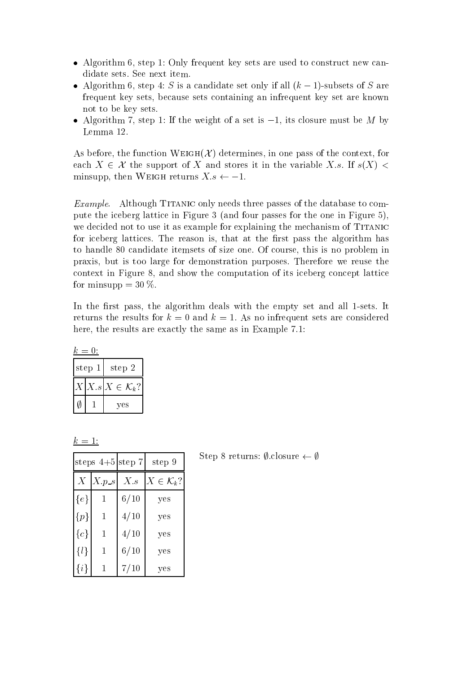- Algorithm 6, step 1: Only frequent key sets are used to construct new candidate sets. See next item.
- Algorithm 6, step 4: S is a candidate set only if all  $(k-1)$ -subsets of S are frequent key sets, because sets containing an infrequent key set are known not to be key sets.
- Algorithm 7, step 1: If the weight of a set is  $-1$ , its closure must be M by Lemma 12.

As before, the function  $WEGH(\mathcal{X})$  determines, in one pass of the context, for each X 2 X 2 X and support of XX and stores it in the variable X:s. If s(X)  $\sim$ minsupp, then WEIGH returns  $X.s \leftarrow -1$ .

Example. Although TITANIC only needs three passes of the database to compute the iceberg lattice in Figure 3 (and four passes for the one in Figure 5), we decided not to use it as example for explaining the mechanism of TITANIC for iceberg lattices. The reason is, that at the first pass the algorithm has to handle 80 candidate itemsets of size one. Of course, this is no problem in praxis, but is too large for demonstration purposes. Therefore we reuse the context in Figure 8, and show the computation of its iceberg concept lattice for minsupp  $= 30\%$ .

In the first pass, the algorithm deals with the empty set and all 1-sets. It returns the results for  $k = 0$  and  $k = 1$ . As no infrequent sets are considered here, the results are exactly the same as in Example 7.1:

| $k=0$ :  |                               |  |
|----------|-------------------------------|--|
| step $1$ | step 2                        |  |
|          | $X X.s X \in \mathcal{K}_k$ ? |  |
|          | yes                           |  |

 $k = 1$ :

|         |             | steps $4+5$ step 7 | step 9                  | Step 8 |
|---------|-------------|--------------------|-------------------------|--------|
|         | $X X.p_s$   | X.s                | $X \in \mathcal{K}_k$ ? |        |
| $\{e\}$ | 1           | 6/10               | yes                     |        |
| $\{p\}$ | $\mathbf 1$ | 4/10               | yes                     |        |
| ${c}$   | 1           | 4/10               | yes                     |        |
| $\{l\}$ | 1           | 6/10               | yes                     |        |
| $\{i\}$ |             | 7/10               | yes                     |        |

Step 8 returns:  $\emptyset$ .closure  $\leftarrow$   $\emptyset$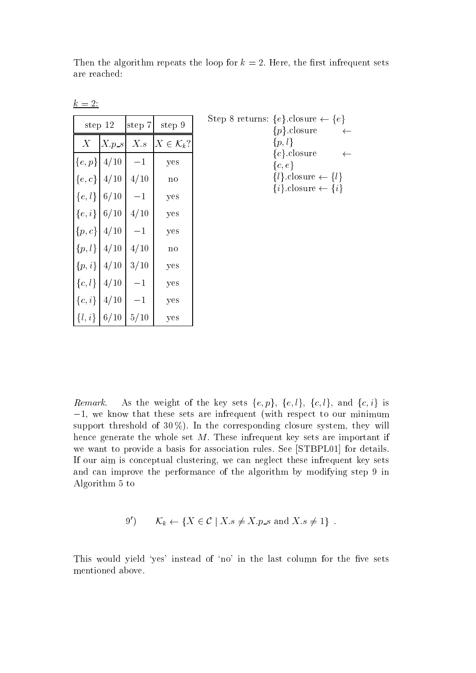Then the algorithm repeats the loop for  $k = 2$ . Here, the first infrequent sets are reached:

|                    | step $12$            | step 7  | step 9                  | Step 8 |
|--------------------|----------------------|---------|-------------------------|--------|
| $X_{-}$            | $ X.p_s  X.s$        |         | $X \in \mathcal{K}_k$ ? |        |
| $\{e, p\}$ 4/10    |                      | $-1$    | yes                     |        |
|                    | $\{e, c\}$ 4/10 4/10 |         | no                      |        |
|                    | $\{e, l\}$ 6/10      | $-1$    | yes                     |        |
|                    | $\{e, i\}$   6/10    | 4/10    | yes                     |        |
| $\{p,c\}$ 4/10     |                      | $-1$    | yes                     |        |
|                    | $\{p,l\}$   $4/10$   | 4/10    | no                      |        |
|                    | $\{p,i\}$   4/10     | 3/10    | yes                     |        |
| ${c,l}$   $4/10$   |                      | $-1$    | yes                     |        |
| $\{c,i\}$   $4/10$ |                      | $^{-1}$ | yes                     |        |
|                    | $\{l, i\}$   6/10    | 5/10    | yes                     |        |

 $k=2$ :

Step 8 returns: 
$$
\{e\}
$$
. closure  $\leftarrow$   $\{p\}$ . closure  $\leftarrow$   $\{p, l\}$   $\{c\}$ . closure  $\leftarrow$   $\{c, e\}$ .  $\{l\}$ . closure  $\leftarrow$   $\{l\}$ . closure  $\leftarrow$   $\{l\}$ . closure  $\leftarrow$   $\{l\}$ . closure  $\leftarrow$   $\{l\}$ .  $\{i\}$ . closure  $\leftarrow$   $\{i\}$ .

Remark. As the weight of the key sets  $\{e, p\}$ ,  $\{e, l\}$ ,  $\{c, l\}$ , and  $\{c, i\}$  is  $-1$ , we know that these sets are infrequent (with respect to our minimum support threshold of  $30\%$ ). In the corresponding closure system, they will hence generate the whole set  $M$ . These infrequent key sets are important if we want to provide a basis for association rules. See [STBPL01] for details. If our aim is conceptual clustering, we can neglect these infrequent key sets and can improve the performance of the algorithm by modifying step 9 in Algorithm 5 to

9') 
$$
\mathcal{K}_k \leftarrow \{ X \in \mathcal{C} \mid X.s \neq X.p.s \text{ and } X.s \neq 1 \}.
$$

This would yield 'yes' instead of 'no' in the last column for the five sets mentioned above.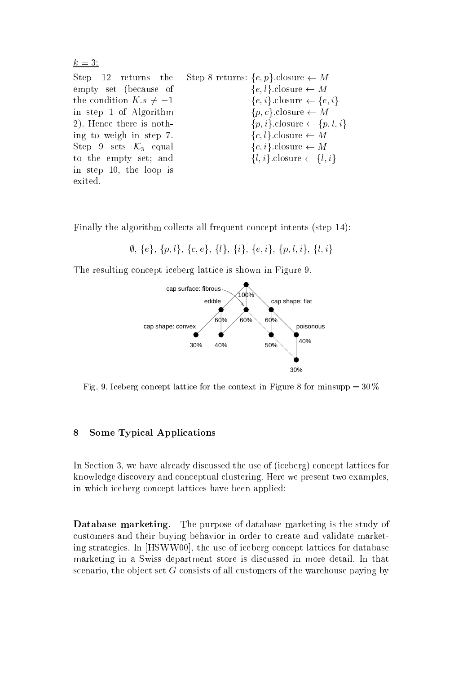

Finally the algorithm collects all frequent concept intents (step 14):

```
\emptyset, {e}, {p, l}, {c, e}, {l}, {i}, {e, i}, {p, l, i}, {l, i}
```
The resulting concept iceberg lattice is shown in Figure 9.



Fig. 9. Iceberg concept lattice for the context in Figure 8 for minsupp =  $30\%$ 

## 8 Some Typical Applications

In Section 3, we have already discussed the use of (iceberg) concept lattices for knowledge discovery and conceptual clustering. Here we present two examples, in which iceberg concept lattices have been applied:

Database marketing. The purpose of database marketing is the study of customers and their buying behavior in order to create and validate marketing strategies. In [HSWW00], the use of iceberg concept lattices for database marketing in a Swiss department store is discussed in more detail. In that scenario, the object set G consists of all customers of the warehouse paying by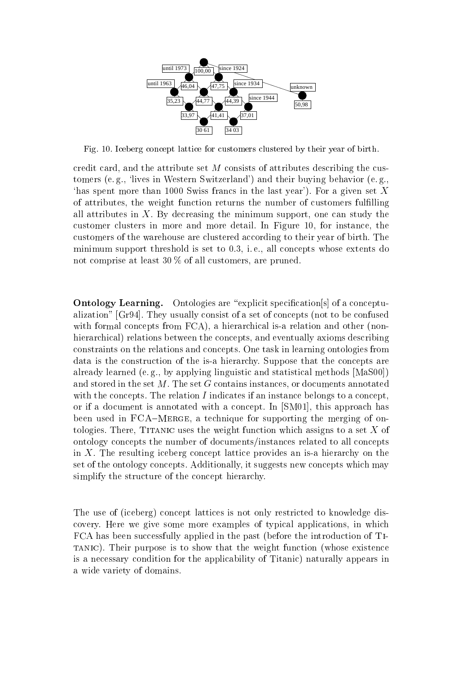

Fig. 10. Iceberg concept lattice for customers clustered by their year of birth.

credit card, and the attribute set  $M$  consists of attributes describing the customers (e.g., 'lives in Western Switzerland') and their buying behavior (e.g., 'has spent more than 1000 Swiss francs in the last year'). For a given set X of attributes, the weight function returns the number of customers fullling all attributes in  $X$ . By decreasing the minimum support, one can study the customer clusters in more and more detail. In Figure 10, for instance, the customers of the warehouse are clustered according to their year of birth. The minimum support threshold is set to 0.3, i. e., all concepts whose extents do not comprise at least 30 % of all customers, are pruned.

**Ontology Learning.** Ontologies are "explicit specification<sup>[s]</sup> of a conceptualization" [Gr94]. They usually consist of a set of concepts (not to be confused with formal concepts from FCA), a hierarchical is-a relation and other (nonhierarchical) relations between the concepts, and eventually axioms describing constraints on the relations and concepts. One task in learning ontologies from data is the construction of the is-a hierarchy. Suppose that the concepts are already learned (e. g., by applying linguistic and statistical methods [MaS00]) and stored in the set  $M$ . The set  $G$  contains instances, or documents annotated with the concepts. The relation  $I$  indicates if an instance belongs to a concept, or if a document is annotated with a concept. In [SM01], this approach has been used in FCA–MERGE, a technique for supporting the merging of ontologies. There, TITANIC uses the weight function which assigns to a set  $X$  of ontology concepts the number of documents/instances related to all concepts in  $X$ . The resulting iceberg concept lattice provides an is-a hierarchy on the set of the ontology concepts. Additionally, it suggests new concepts which may simplify the structure of the concept hierarchy.

The use of (iceberg) concept lattices is not only restricted to knowledge discovery. Here we give some more examples of typical applications, in which FCA has been successfully applied in the past (before the introduction of Titanic). Their purpose is to show that the weight function (whose existence is a necessary condition for the applicability of Titanic) naturally appears in a wide variety of domains.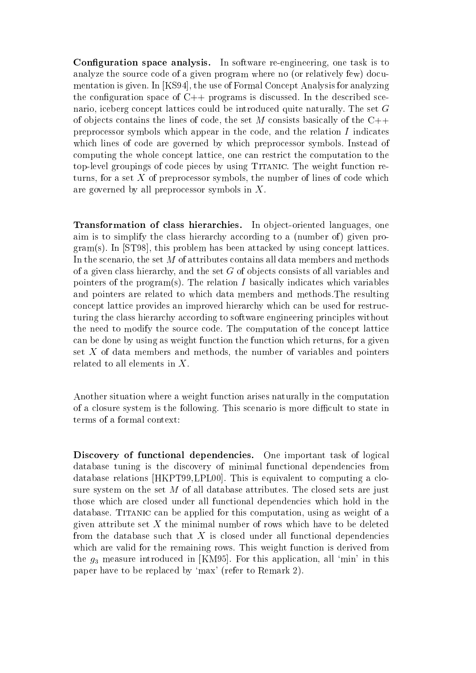Configuration space analysis. In software re-engineering, one task is to analyze the source code of a given program where no (or relatively few) documentation is given. In [KS94], the use of Formal Concept Analysis for analyzing the configuration space of  $C_{++}$  programs is discussed. In the described scenario, iceberg concept lattices could be introduced quite naturally. The set G of objects contains the lines of code, the set M consists basically of the  $C++$ preprocessor symbols which appear in the code, and the relation  $I$  indicates which lines of code are governed by which preprocessor symbols. Instead of computing the whole concept lattice, one can restrict the computation to the top-level groupings of code pieces by using Titanic. The weight function returns, for a set  $X$  of preprocessor symbols, the number of lines of code which are governed by all preprocessor symbols in X.

Transformation of class hierarchies. In object-oriented languages, one aim is to simplify the class hierarchy according to a (number of) given program(s). In [ST98], this problem has been attacked by using concept lattices. In the scenario, the set  $M$  of attributes contains all data members and methods of a given class hierarchy, and the set  $G$  of objects consists of all variables and pointers of the program(s). The relation  $I$  basically indicates which variables and pointers are related to which data members and methods.The resulting concept lattice provides an improved hierarchy which can be used for restructuring the class hierarchy according to software engineering principles without the need to modify the source code. The computation of the concept lattice can be done by using as weight function the function which returns, for a given set  $X$  of data members and methods, the number of variables and pointers related to all elements in X.

Another situation where a weight function arises naturally in the computation of a closure system is the following. This scenario is more difficult to state in terms of a formal context:

Discovery of functional dependencies. One important task of logical database tuning is the discovery of minimal functional dependencies from database relations [HKPT99,LPL00]. This is equivalent to computing a closure system on the set  $M$  of all database attributes. The closed sets are just those which are closed under all functional dependencies which hold in the database. Titanic can be applied for this computation, using as weight of a given attribute set  $X$  the minimal number of rows which have to be deleted from the database such that  $X$  is closed under all functional dependencies which are valid for the remaining rows. This weight function is derived from the  $g_3$  measure introduced in [KM95]. For this application, all 'min' in this paper have to be replaced by 'max' (refer to Remark 2).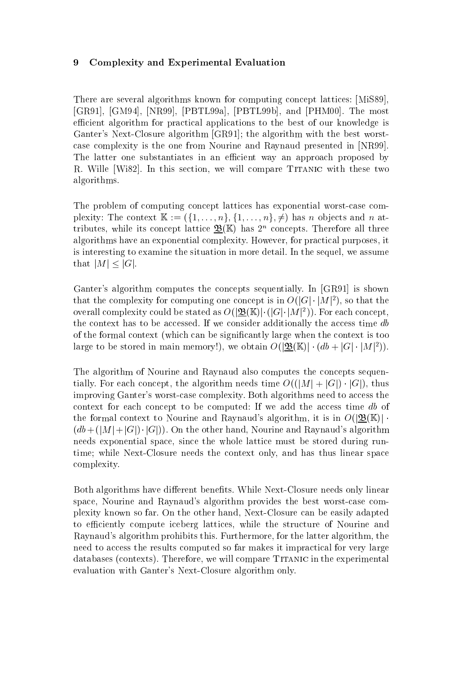# 9 Complexity and Experimental Evaluation

There are several algorithms known for computing concept lattices: [MiS89], [GR91], [GM94], [NR99], [PBTL99a], [PBTL99b], and [PHM00]. The most efficient algorithm for practical applications to the best of our knowledge is Ganter's Next-Closure algorithm [GR91]; the algorithm with the best worstcase complexity is the one from Nourine and Raynaud presented in [NR99]. The latter one substantiates in an efficient way an approach proposed by R. Wille [Wi82]. In this section, we will compare TITANIC with these two algorithms.

The problem of computing concept lattices has exponential worst-case complexity: The context  $\mathbb{K} := (\{1,\ldots,n\},\{1,\ldots,n\},\neq)$  has n objects and n attributes, while its concept lattice  $\mathfrak{B}(\mathbb{R})$  has  $2^\circ$  concepts. Therefore all three algorithms have an exponential complexity. However, for practical purposes, it is interesting to examine the situation in more detail. In the sequel, we assume that  $|M| < |G|$ .

Ganter's algorithm computes the concepts sequentially. In [GR91] is shown that the complexity for computing one concept is in  $O(|G|\cdot|M|^2)$ , so that the overall complexity could be stated as  $O(|\underline{\mathfrak{B}}(\mathbb{K})|\cdot(|G|\cdot|M|^2))$ . For each concept, the context has to be accessed. If we consider additionally the access time db of the formal context (which can be signicantly large when the context is too large to be stored in main memory!), we obtain  $O(|\mathfrak{B}(\mathbb{K})| \cdot (db + |G| \cdot |M|^2)).$ 

The algorithm of Nourine and Raynaud also computes the concepts sequentially. For each concept, the algorithm needs time  $O((|M|+|G|)\cdot |G|)$ , thus improving Ganter's worst-case complexity. Both algorithms need to access the context for each concept to be computed: If we add the access time db of the formal context to Nourine and Raynaud's algorithm, it is in  $O(|\mathfrak{B}(\mathbb{K})|$ .  $(db+(|M|+|G|)\cdot |G|)$ . On the other hand, Nourine and Raynaud's algorithm needs exponential space, since the whole lattice must be stored during runtime; while Next-Closure needs the context only, and has thus linear space complexity.

Both algorithms have different benefits. While Next-Closure needs only linear space, Nourine and Raynaud's algorithm provides the best worst-case complexity known so far. On the other hand, Next-Closure can be easily adapted to efficiently compute iceberg lattices, while the structure of Nourine and Raynaud's algorithm prohibits this. Furthermore, for the latter algorithm, the need to access the results computed so far makes it impractical for very large databases (contexts). Therefore, we will compare Titanic in the experimental evaluation with Ganter's Next-Closure algorithm only.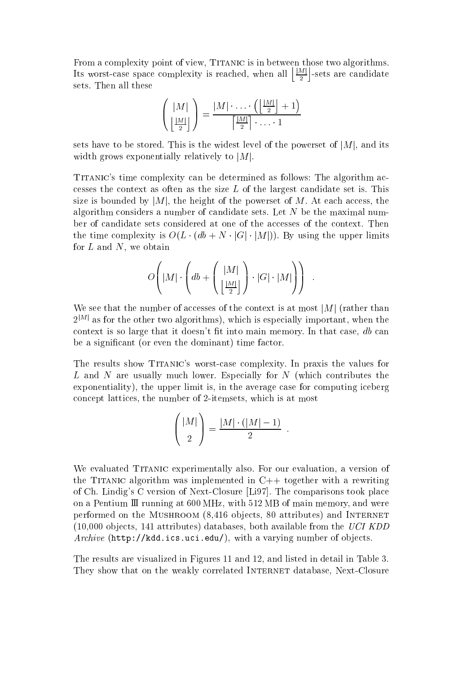From a complexity point of view, TITANIC is in between those two algorithms. Its worst-case space complexity is reached, when all  $\left|\frac{|M|}{2}\right|$ -sets are candidate sets. Then all these

$$
\left(\begin{array}{c} |M| \\ \left\lfloor \frac{|M|}{2} \right\rfloor \end{array}\right) = \frac{|M| \cdot \ldots \cdot \left(\left\lfloor \frac{|M|}{2} \right\rfloor + 1\right)}{\left\lceil \frac{|M|}{2} \right\rceil \cdot \ldots \cdot 1}
$$

sets have to be stored. This is the widest level of the powerset of  $|M|$ , and its width grows exponentially relatively to  $|M|$ .

Titanic's time complexity can be determined as follows: The algorithm accesses the context as often as the size  $L$  of the largest candidate set is. This size is bounded by  $|M|$ , the height of the powerset of M. At each access, the algorithm considers a number of candidate sets. Let  $N$  be the maximal number of candidate sets considered at one of the accesses of the context. Then the time complete  $\mathcal{A} = \{x_1, \ldots, x_{n-1}, \ldots, x_{n-1}, \ldots, x_n\}$  and  $\mathcal{A} = \{x_1, \ldots, x_n\}$ for  $L$  and  $N$ , we obtain

$$
O\Bigg(|M| \cdot \left(d b + \left(\frac{|M|}{\left\lfloor \frac{|M|}{2} \right\rfloor}\right) \cdot |G| \cdot |M| \right)\Bigg) \quad.
$$

We see that the number of accesses of the context is at most  $|M|$  (rather than  $2^{|M|}$  as for the other two algorithms), which is especially important, when the context is so large that it doesn't fit into main memory. In that case,  $db$  can be a signicant (or even the dominant) time factor.

The results show Titanic's worst-case complexity. In praxis the values for L and N are usually much lower. Especially for  $N$  (which contributes the exponentiality), the upper limit is, in the average case for computing iceberg concept lattices, the number of 2-itemsets, which is at most

$$
\binom{|M|}{2} = \frac{|M| \cdot (|M|-1)}{2} \enspace .
$$

We evaluated TITANIC experimentally also. For our evaluation, a version of the TITANIC algorithm was implemented in  $C++$  together with a rewriting of Ch. Lindig's C version of Next-Closure [Li97]. The comparisons took place on a Pentium III running at  $600 \text{ MHz}$ , with  $512 \text{ MB}$  of main memory, and were performed on the MUSHROOM (8,416 objects, 80 attributes) and INTERNET  $(10,000)$  objects, 141 attributes) databases, both available from the UCI KDD Archive (http://kdd.ics.uci.edu/), with a varying number of objects.

The results are visualized in Figures 11 and 12, and listed in detail in Table 3. They show that on the weakly correlated INTERNET database, Next-Closure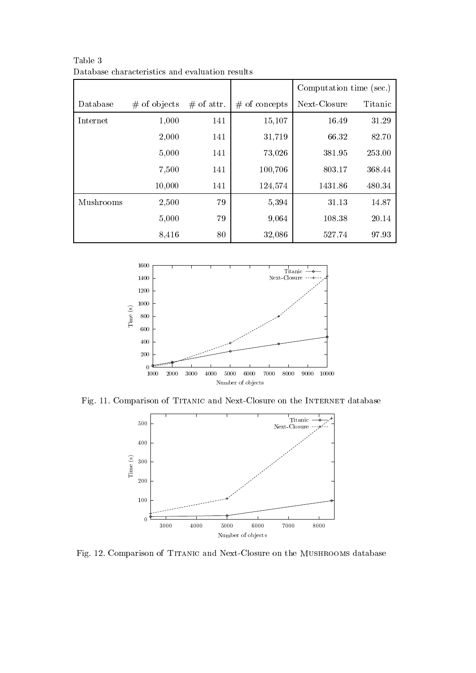|           |                |              |                 | Computation time (sec.) |         |
|-----------|----------------|--------------|-----------------|-------------------------|---------|
| Database  | $#$ of objects | $#$ of attr. | $#$ of concepts | Next-Closure            | Titanic |
| Internet  | 1,000          | 141          | 15,107          | 16.49                   | 31.29   |
|           | 2,000          | 141          | 31,719          | 66.32                   | 82.70   |
|           | 5,000          | 141          | 73,026          | 381.95                  | 253.00  |
|           | 7,500          | 141          | 100,706         | 803.17                  | 368.44  |
|           | 10,000         | 141          | 124,574         | 1431.86                 | 480.34  |
| Mushrooms | 2,500          | 79           | 5,394           | 31.13                   | 14.87   |
|           | 5,000          | 79           | 9,064           | 108.38                  | 20.14   |
|           | 8,416          | 80           | 32,086          | 527.74                  | 97.93   |

Table 3 Database characteristics and evaluation results



Fig. 11. Comparison of Titanic and Next-Closure on the Internet database



Fig. 12. Comparison of Titanic and Next-Closure on the Mushrooms database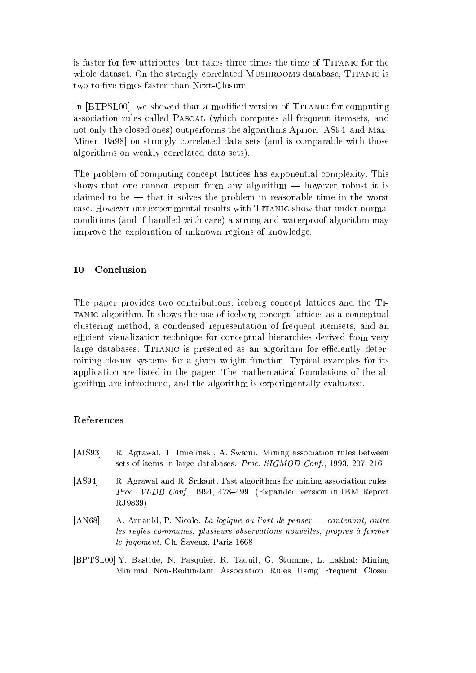is faster for few attributes, but takes three times the time of Titanic for the whole dataset. On the strongly correlated MUSHROOMS database, TITANIC is two to five times faster than Next-Closure.

In [BTPSL00], we showed that a modified version of TITANIC for computing association rules called Pascal (which computes all frequent itemsets, and not only the closed ones) outperforms the algorithms Apriori [AS94] and Max-Miner [Ba98] on strongly correlated data sets (and is comparable with those algorithms on weakly correlated data sets).

The problem of computing concept lattices has exponential complexity. This shows that one cannot expect from any algorithm  $-$  however robust it is claimed to be  $-$  that it solves the problem in reasonable time in the worst case. However our experimental results with Titanic show that under normal conditions (and if handled with care) a strong and waterproof algorithm may improve the exploration of unknown regions of knowledge.

## 10 Conclusion

The paper provides two contributions: iceberg concept lattices and the Titanic algorithm. It shows the use of iceberg concept lattices as a conceptual clustering method, a condensed representation of frequent itemsets, and an efficient visualization technique for conceptual hierarchies derived from very large databases. TITANIC is presented as an algorithm for efficiently determining closure systems for a given weight function. Typical examples for its application are listed in the paper. The mathematical foundations of the algorithm are introduced, and the algorithm is experimentally evaluated.

## References

- [AIS93] R. Agrawal, T. Imielinski, A. Swami. Mining association rules between sets of items in large databases. *Proc. SIGMOD Conf.*, 1993, 207-216
- [AS94] R. Agrawal and R. Srikant. Fast algorithms for mining association rules. Proc. VLDB Conf., 1994, 478-499 (Expanded version in IBM Report RJ9839)
- [AN68] A. Arnauld, P. Nicole: La logique ou l'art de penser contenant, outre les règles communes, plusieurs observations nouvelles, propres à former le jugement. Ch. Saveux, Paris 1668
- [BPTSL00] Y. Bastide, N. Pasquier, R. Taouil, G. Stumme, L. Lakhal: Mining Minimal Non-Redundant Association Rules Using Frequent Closed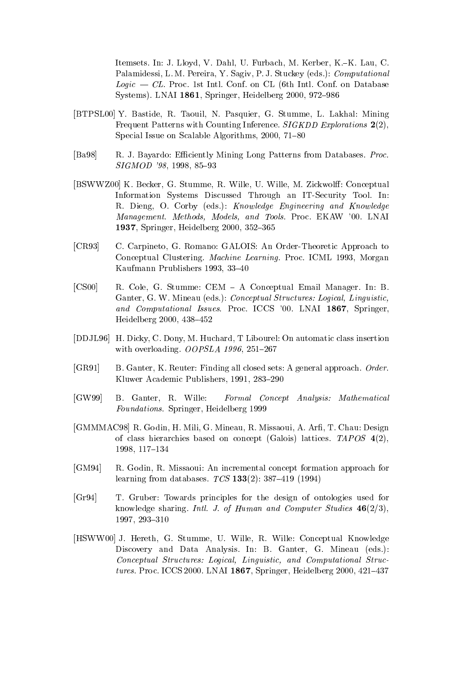Itemsets. In: J. Lloyd, V. Dahl, U. Furbach, M. Kerber, K.–K. Lau, C. Palamidessi, L. M. Pereira, Y. Sagiv, P. J. Stuckey (eds.): Computational  $Logic - CL$ . Proc. 1st Intl. Conf. on CL (6th Intl. Conf. on Database Systems). LNAI  $1861$ , Springer, Heidelberg 2000, 972-986

- [BTPSL00] Y. Bastide, R. Taouil, N. Pasquier, G. Stumme, L. Lakhal: Mining Frequent Patterns with Counting Inference. SIGKDD Explorations 2(2), Special Issue on Scalable Algorithms,  $2000, 71-80$
- [Ba98] R. J. Bayardo: Efficiently Mining Long Patterns from Databases. Proc.  $SIGMOD$  '98, 1998, 85-93
- [BSWWZ00] K. Becker, G. Stumme, R. Wille, U. Wille, M. Zickwolff: Conceptual Information Systems Discussed Through an IT-Security Tool. In: R. Dieng, O. Corby (eds.): Knowledge Engineering and Knowledge Management. Methods, Models, and Tools. Proc. EKAW '00. LNAI 1937, Springer, Heidelberg 2000, 352-365
- [CR93] C. Carpineto, G. Romano: GALOIS: An Order-Theoretic Approach to Conceptual Clustering. Machine Learning. Proc. ICML 1993, Morgan Kaufmann Prublishers 1993, 33-40
- [CS00] R. Cole, G. Stumme: CEM A Conceptual Email Manager. In: B. Ganter, G. W. Mineau (eds.): Conceptual Structures: Logical, Linguistic, and Computational Issues. Proc. ICCS '00. LNAI 1867, Springer, Heidelberg 2000, 438-452
- [DDJL96] H. Dicky, C. Dony, M. Huchard, T Libourel: On automatic class insertion with overloading.  $OOPSLA$  1996, 251-267
- [GR91] B. Ganter, K. Reuter: Finding all closed sets: A general approach. Order. Kluwer Academic Publishers, 1991, 283-290
- [GW99] B. Ganter, R. Wille: Formal Concept Analysis: Mathematical Foundations. Springer, Heidelberg 1999
- [GMMMAC98] R. Godin, H. Mili, G. Mineau, R. Missaoui, A. Arfi, T. Chau: Design of class hierarchies based on concept (Galois) lattices. TAPOS 4(2), 1998, 117-134
- [GM94] R. Godin, R. Missaoui: An incremental concept formation approach for learning from databases.  $TCS 133(2)$ : 387-419 (1994)
- [Gr94] T. Gruber: Towards principles for the design of ontologies used for knowledge sharing. Intl. J. of Human and Computer Studies 46(2/3), 1997, 293-310
- [HSWW00] J. Hereth, G. Stumme, U. Wille, R. Wille: Conceptual Knowledge Discovery and Data Analysis. In: B. Ganter, G. Mineau (eds.): Conceptual Structures: Logical, Linguistic, and Computational Structures. Proc. ICCS 2000. LNAI 1867, Springer, Heidelberg 2000,  $421-437$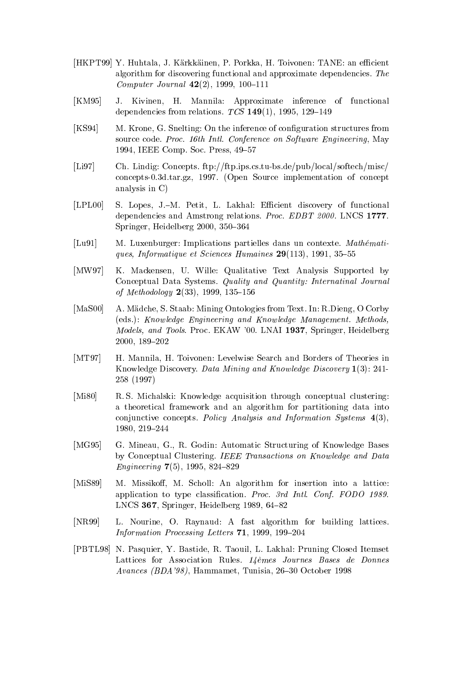- [HKPT99] Y. Huhtala, J. Kärkkäinen, P. Porkka, H. Toivonen: TANE: an efficient algorithm for discovering functional and approximate dependencies. The Computer Journal  $42(2)$ , 1999, 100-111
- [KM95] J. Kivinen, H. Mannila: Approximate inference of functional dependencies from relations.  $TCS$  149(1), 1995, 129-149
- [KS94] M. Krone, G. Snelting: On the inference of configuration structures from source code. Proc. 16th Intl. Conference on Software Engineering, May 1994, IEEE Comp. Soc. Press, 49–57
- [Li97] Ch. Lindig: Concepts. ftp://ftp.ips.cs.tu-bs.de/pub/local/softech/misc/ concepts-0.3d.tar.gz, 1997. (Open Source implementation of concept analysis in C)
- [LPL00] S. Lopes, J.-M. Petit, L. Lakhal: Efficient discovery of functional dependencies and Amstrong relations. Proc. EDBT 2000. LNCS 1777. Springer, Heidelberg  $2000, 350-364$
- [Lu91] M. Luxenburger: Implications partielles dans un contexte. Mathématiques, Informatique et Sciences Humaines  $29(113)$ , 1991, 35-55
- [MW97] K. Mackensen, U. Wille: Qualitative Text Analysis Supported by Conceptual Data Systems. Quality and Quantity: Internatinal Journal of Methodology  $2(33)$ , 1999, 135-156
- [MaS00] A. Mädche, S. Staab: Mining Ontologies from Text. In: R. Dieng, O Corby (eds.): Know ledge Engineering and Know ledge Management. Methods, Models, and Tools. Proc. EKAW '00. LNAI 1937, Springer, Heidelberg 2000, 189-202
- [MT97] H. Mannila, H. Toivonen: Levelwise Search and Borders of Theories in Knowledge Discovery. Data Mining and Knowledge Discovery 1(3): 241-258 (1997)
- [Mi80] R. S. Michalski: Knowledge acquisition through conceptual clustering: a theoretical framework and an algorithm for partitioning data into conjunctive concepts. Policy Analysis and Information Systems 4(3), 1980, 219-244
- [MG95] G. Mineau, G., R. Godin: Automatic Structuring of Knowledge Bases by Conceptual Clustering. IEEE Transactions on Knowledge and Data Engineering  $7(5)$ , 1995, 824-829
- [MiS89] M. Missikoff, M. Scholl: An algorithm for insertion into a lattice: application to type classication. Proc. 3rd Intl. Conf. FODO 1989. LNCS  $367$ , Springer, Heidelberg 1989, 64-82
- [NR99] L. Nourine, O. Raynaud: A fast algorithm for building lattices. Information Processing Letters  $71, 1999, 199-204$
- [PBTL98] N. Pasquier, Y. Bastide, R. Taouil, L. Lakhal: Pruning Closed Itemset Lattices for Association Rules. 14èmes Journes Bases de Donnes Avances (BDA'98), Hammamet, Tunisia, 26-30 October 1998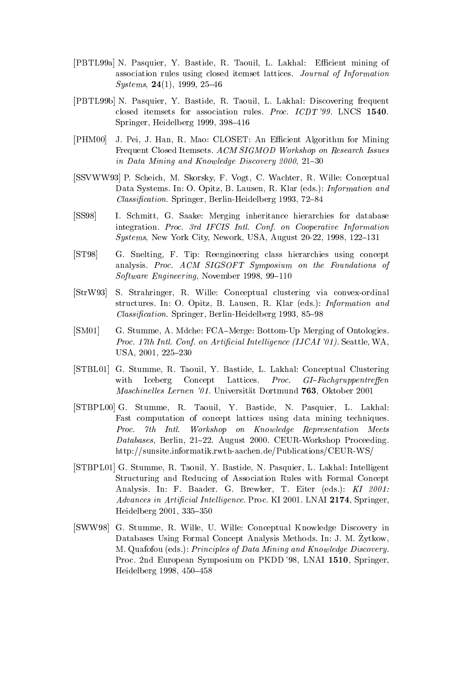- [PBTL99a] N. Pasquier, Y. Bastide, R. Taouil, L. Lakhal: Efficient mining of association rules using closed itemset lattices. Journal of Information  $Systems, 24(1), 1999, 25-46$
- [PBTL99b] N. Pasquier, Y. Bastide, R. Taouil, L. Lakhal: Discovering frequent closed itemsets for association rules. Proc. ICDT '99. LNCS 1540. Springer, Heidelberg  $1999, 398-416$
- [PHM00] J. Pei, J. Han, R. Mao: CLOSET: An Efficient Algorithm for Mining Frequent Closed Itemsets. ACM SIGMOD Workshop on Research Issues in Data Mining and Knowledge Discovery  $2000, 21{-}30$
- [SSVWW93] P. Scheich, M. Skorsky, F. Vogt, C. Wachter, R. Wille: Conceptual Data Systems. In: O. Opitz, B. Lausen, R. Klar (eds.): Information and  $Classification$ . Springer, Berlin-Heidelberg 1993, 72-84
- [SS98] I. Schmitt, G. Saake: Merging inheritance hierarchies for database integration. Proc. 3rd IFCIS Intl. Conf. on Cooperative Information *Systems*, New York City, Nework, USA, August  $20-22$ , 1998, 122-131
- [ST98] G. Snelting, F. Tip: Reengineering class hierarchies using concept analysis. Proc. ACM SIGSOFT Symposium on the Foundations of  $Software\ \ \textit{Enaineerna}\$ , November 1998, 99-110
- [StrW93] S. Strahringer, R. Wille: Conceptual clustering via convex-ordinal structures. In: O. Opitz, B. Lausen, R. Klar (eds.): Information and  $Classification$ . Springer, Berlin-Heidelberg 1993, 85-98
- [SM01] G. Stumme, A. Mdche: FCA–Merge: Bottom-Up Merging of Ontologies. Proc. 17th Intl. Conf. on Artificial Intelligence (IJCAI '01). Seattle, WA, USA, 2001, 225-230
- [STBL01] G. Stumme, R. Taouil, Y. Bastide, L. Lakhal: Conceptual Clustering with Iceberg Concept Lattices. Proc. GI-Fachgruppentreffen Maschinelles Lernen '01. Universität Dortmund 763, Oktober 2001
- [STBPL00] G. Stumme, R. Taouil, Y. Bastide, N. Pasquier, L. Lakhal: Fast computation of concept lattices using data mining techniques. Proc. 7th Intl. Workshop on Knowledge Representation Meets Databases, Berlin, 21-22. August 2000. CEUR-Workshop Proceeding. http://sunsite.informatik.rwth-aachen.de/Publications/CEUR-WS/
- [STBPL01] G. Stumme, R. Taouil, Y. Bastide, N. Pasquier, L. Lakhal: Intelligent Structuring and Reducing of Association Rules with Formal Concept Analysis. In: F. Baader. G. Brewker, T. Eiter (eds.): KI 2001: Advances in Artificial Intelligence. Proc. KI 2001. LNAI 2174, Springer, Heidelberg 2001, 335-350
- [SWW98] G. Stumme, R. Wille, U. Wille: Conceptual Knowledge Discovery in Databases Using Formal Concept Analysis Methods. In: J. M. Zytkow, M. Quafofou (eds.): Principles of Data Mining and Knowledge Discovery. Proc. 2nd European Symposium on PKDD '98, LNAI 1510, Springer, Heidelberg 1998, 450-458